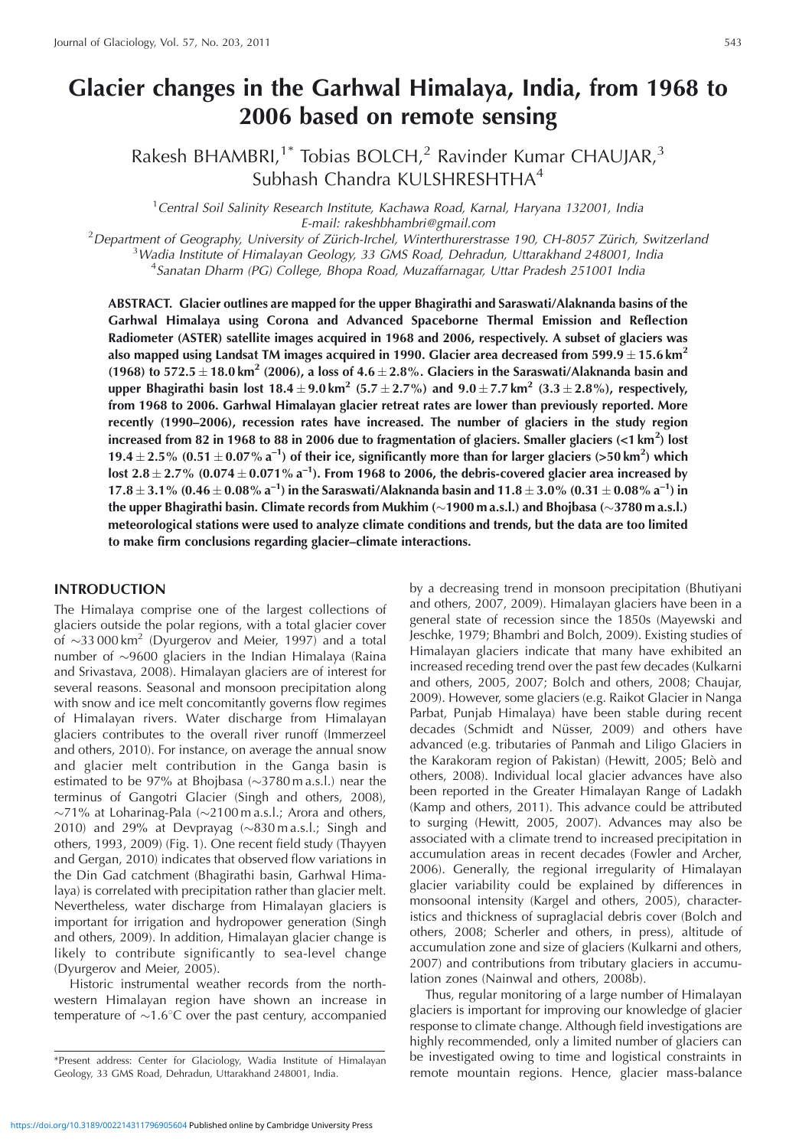# **Glacier changes in the Garhwal Himalaya, India, from 1968 to 2006 based on remote sensing**

Rakesh BHAMBRI,<sup>1\*</sup> Tobias BOLCH,<sup>2</sup> Ravinder Kumar CHAUJAR,<sup>3</sup> Subhash Chandra KULSHRESHTHA<sup>4</sup>

<sup>1</sup> Central Soil Salinity Research Institute, Kachawa Road, Karnal, Haryana 132001, India E-mail: rakeshbhambri@gmail.com<br><sup>2</sup>Department of Geography University of Zürich Irchel, Winterthurerstra

Department of Geography, University of Zürich-Irchel, Winterthurerstrasse 190, CH-8057 Zürich, Switzerland<br>3 Wadia Institute of Himalayan Geology, 33 CMS Road, Debradun, Uttarakhand 248001, India <sup>3</sup> Wadia Institute of Himalayan Geology, 33 GMS Road, Dehradun, Uttarakhand 248001, India

<sup>4</sup>Sanatan Dharm (PG) College, Bhopa Road, Muzaffarnagar, Uttar Pradesh 251001 India

**ABSTRACT. Glacier outlines are mapped for the upper Bhagirathi and Saraswati/Alaknanda basins of the Garhwal Himalaya using Corona and Advanced Spaceborne Thermal Emission and Reflection Radiometer (ASTER) satellite images acquired in 1968 and 2006, respectively. A subset of glaciers was** also mapped using Landsat TM images acquired in 1990. Glacier area decreased from 599.9  $\pm$  15.6 km<sup>2</sup> (1968) to 572.5  $\pm$  18.0 km<sup>2</sup> (2006), a loss of 4.6  $\pm$  2.8%. Glaciers in the Saraswati/Alaknanda basin and  $\mu$ pper Bhagirathi basin lost 18.4  $\pm$  9.0 km<sup>2</sup> (5.7  $\pm$  2.7%) and 9.0  $\pm$  7.7 km<sup>2</sup> (3.3  $\pm$  2.8%), respectively, **from 1968 to 2006. Garhwal Himalayan glacier retreat rates are lower than previously reported. More recently (1990–2006), recession rates have increased. The number of glaciers in the study region increased from 82 in 1968 to 88 in 2006 due to fragmentation of glaciers. Smaller glaciers (<1 km<sup>2</sup> ) lost 19.4**  $\pm$  2.5% (0.51  $\pm$  0.07% a<sup>-1</sup>) of their ice, significantly more than for larger glaciers (>50 km<sup>2</sup>) which  $\textsf{lost 2.8} \pm \textsf{2.7\%}$  (0.074  $\pm$  0.071 % a<sup>-1</sup>). From 1968 to 2006, the debris-covered glacier area increased by  $17.8 \pm 3.1\%$  (0.46  $\pm$  0.08% a<sup>-1</sup>) in the Saraswati/Alaknanda basin and  $11.8 \pm 3.0\%$  (0.31  $\pm$  0.08% a<sup>-1</sup>) in **the upper Bhagirathi basin. Climate records from Mukhim (1900 m a.s.l.) and Bhojbasa (3780 m a.s.l.) meteorological stations were used to analyze climate conditions and trends, but the data are too limited to make firm conclusions regarding glacier–climate interactions.**

# **INTRODUCTION**

The Himalaya comprise one of the largest collections of glaciers outside the polar regions, with a total glacier cover of  $\sim$ 33 000 km<sup>2</sup> (Dyurgerov and Meier, 1997) and a total number of  $\sim$ 9600 glaciers in the Indian Himalaya (Raina and Srivastava, 2008). Himalayan glaciers are of interest for several reasons. Seasonal and monsoon precipitation along with snow and ice melt concomitantly governs flow regimes of Himalayan rivers. Water discharge from Himalayan glaciers contributes to the overall river runoff (Immerzeel and others, 2010). For instance, on average the annual snow and glacier melt contribution in the Ganga basin is estimated to be 97% at Bhojbasa  $(\sim]3780 \text{ m a.s.}$ l.) near the terminus of Gangotri Glacier (Singh and others, 2008),  $\sim$ 71% at Loharinag-Pala ( $\sim$ 2100 m a.s.l.; Arora and others, 2010) and 29% at Devprayag  $(\sim 830 \text{ m a.s.}!)$ : Singh and others, 1993, 2009) (Fig. 1). One recent field study (Thayyen and Gergan, 2010) indicates that observed flow variations in the Din Gad catchment (Bhagirathi basin, Garhwal Himalaya) is correlated with precipitation rather than glacier melt. Nevertheless, water discharge from Himalayan glaciers is important for irrigation and hydropower generation (Singh and others, 2009). In addition, Himalayan glacier change is likely to contribute significantly to sea-level change (Dyurgerov and Meier, 2005).

Historic instrumental weather records from the northwestern Himalayan region have shown an increase in temperature of  $\sim 1.6^{\circ}$ C over the past century, accompanied by a decreasing trend in monsoon precipitation (Bhutiyani and others, 2007, 2009). Himalayan glaciers have been in a general state of recession since the 1850s (Mayewski and Jeschke, 1979; Bhambri and Bolch, 2009). Existing studies of Himalayan glaciers indicate that many have exhibited an increased receding trend over the past few decades (Kulkarni and others, 2005, 2007; Bolch and others, 2008; Chaujar, 2009). However, some glaciers (e.g. Raikot Glacier in Nanga Parbat, Punjab Himalaya) have been stable during recent decades (Schmidt and Nüsser, 2009) and others have advanced (e.g. tributaries of Panmah and Liligo Glaciers in the Karakoram region of Pakistan) (Hewitt, 2005; Belò and others, 2008). Individual local glacier advances have also been reported in the Greater Himalayan Range of Ladakh (Kamp and others, 2011). This advance could be attributed to surging (Hewitt, 2005, 2007). Advances may also be associated with a climate trend to increased precipitation in accumulation areas in recent decades (Fowler and Archer, 2006). Generally, the regional irregularity of Himalayan glacier variability could be explained by differences in monsoonal intensity (Kargel and others, 2005), characteristics and thickness of supraglacial debris cover (Bolch and others, 2008; Scherler and others, in press), altitude of accumulation zone and size of glaciers (Kulkarni and others, 2007) and contributions from tributary glaciers in accumulation zones (Nainwal and others, 2008b).

Thus, regular monitoring of a large number of Himalayan glaciers is important for improving our knowledge of glacier response to climate change. Although field investigations are highly recommended, only a limited number of glaciers can be investigated owing to time and logistical constraints in remote mountain regions. Hence, glacier mass-balance

<sup>\*</sup>Present address: Center for Glaciology, Wadia Institute of Himalayan Geology, 33 GMS Road, Dehradun, Uttarakhand 248001, India.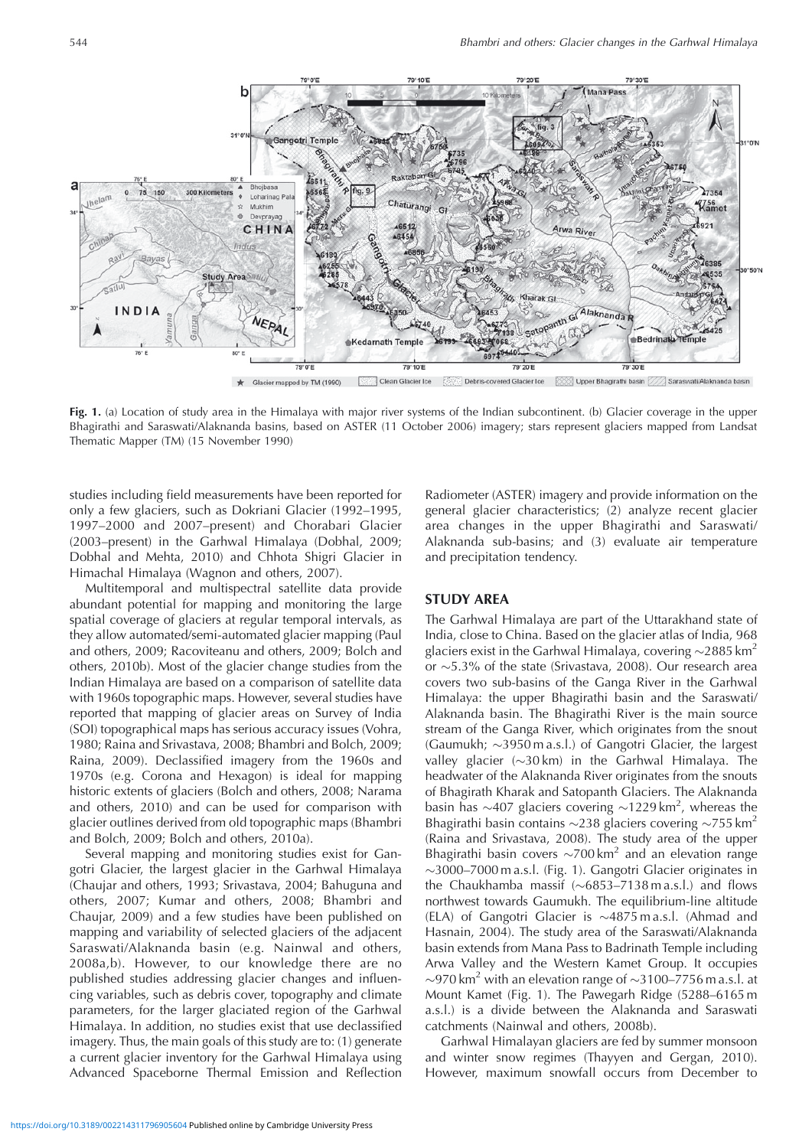

 $\star$ Glacier mapped by TM (1990) Clean Glacier Ice Upper Bhagirathi basin /// Saraswati/Alaknanda basin

**Fig. 1.** (a) Location of study area in the Himalaya with major river systems of the Indian subcontinent. (b) Glacier coverage in the upper Bhagirathi and Saraswati/Alaknanda basins, based on ASTER (11 October 2006) imagery; stars represent glaciers mapped from Landsat Thematic Mapper (TM) (15 November 1990)

studies including field measurements have been reported for only a few glaciers, such as Dokriani Glacier (1992–1995, 1997–2000 and 2007–present) and Chorabari Glacier (2003–present) in the Garhwal Himalaya (Dobhal, 2009; Dobhal and Mehta, 2010) and Chhota Shigri Glacier in Himachal Himalaya (Wagnon and others, 2007).

Multitemporal and multispectral satellite data provide abundant potential for mapping and monitoring the large spatial coverage of glaciers at regular temporal intervals, as they allow automated/semi-automated glacier mapping (Paul and others, 2009; Racoviteanu and others, 2009; Bolch and others, 2010b). Most of the glacier change studies from the Indian Himalaya are based on a comparison of satellite data with 1960s topographic maps. However, several studies have reported that mapping of glacier areas on Survey of India (SOI) topographical maps has serious accuracy issues (Vohra, 1980; Raina and Srivastava, 2008; Bhambri and Bolch, 2009; Raina, 2009). Declassified imagery from the 1960s and 1970s (e.g. Corona and Hexagon) is ideal for mapping historic extents of glaciers (Bolch and others, 2008; Narama and others, 2010) and can be used for comparison with glacier outlines derived from old topographic maps (Bhambri and Bolch, 2009; Bolch and others, 2010a).

Several mapping and monitoring studies exist for Gangotri Glacier, the largest glacier in the Garhwal Himalaya (Chaujar and others, 1993; Srivastava, 2004; Bahuguna and others, 2007; Kumar and others, 2008; Bhambri and Chaujar, 2009) and a few studies have been published on mapping and variability of selected glaciers of the adjacent Saraswati/Alaknanda basin (e.g. Nainwal and others, 2008a,b). However, to our knowledge there are no published studies addressing glacier changes and influencing variables, such as debris cover, topography and climate parameters, for the larger glaciated region of the Garhwal Himalaya. In addition, no studies exist that use declassified imagery. Thus, the main goals of this study are to: (1) generate a current glacier inventory for the Garhwal Himalaya using Advanced Spaceborne Thermal Emission and Reflection Radiometer (ASTER) imagery and provide information on the general glacier characteristics; (2) analyze recent glacier area changes in the upper Bhagirathi and Saraswati/ Alaknanda sub-basins; and (3) evaluate air temperature and precipitation tendency.

#### **STUDY AREA**

The Garhwal Himalaya are part of the Uttarakhand state of India, close to China. Based on the glacier atlas of India, 968 glaciers exist in the Garhwal Himalaya, covering  $\sim$ 2885 km<sup>2</sup> or  $\sim$ 5.3% of the state (Srivastava, 2008). Our research area covers two sub-basins of the Ganga River in the Garhwal Himalaya: the upper Bhagirathi basin and the Saraswati/ Alaknanda basin. The Bhagirathi River is the main source stream of the Ganga River, which originates from the snout (Gaumukh;  $\sim$ 3950 m a.s.l.) of Gangotri Glacier, the largest valley glacier  $(\sim 30 \text{ km})$  in the Garhwal Himalaya. The headwater of the Alaknanda River originates from the snouts of Bhagirath Kharak and Satopanth Glaciers. The Alaknanda basin has  $\sim$ 407 glaciers covering  $\sim$ 1229 km<sup>2</sup>, whereas the Bhagirathi basin contains  $\sim$ 238 glaciers covering  $\sim$ 755 km<sup>2</sup> (Raina and Srivastava, 2008). The study area of the upper Bhagirathi basin covers  $\sim$ 700 km<sup>2</sup> and an elevation range 3000–7000 m a.s.l. (Fig. 1). Gangotri Glacier originates in the Chaukhamba massif  $(\sim 6853 - 7138 \text{ m a.s.}!)$  and flows northwest towards Gaumukh. The equilibrium-line altitude (ELA) of Gangotri Glacier is  $\sim$ 4875 m a.s.l. (Ahmad and Hasnain, 2004). The study area of the Saraswati/Alaknanda basin extends from Mana Pass to Badrinath Temple including Arwa Valley and the Western Kamet Group. It occupies  $\sim$ 970 km<sup>2</sup> with an elevation range of  $\sim$ 3100–7756 m a.s.l. at Mount Kamet (Fig. 1). The Pawegarh Ridge (5288–6165 m a.s.l.) is a divide between the Alaknanda and Saraswati catchments (Nainwal and others, 2008b).

Garhwal Himalayan glaciers are fed by summer monsoon and winter snow regimes (Thayyen and Gergan, 2010). However, maximum snowfall occurs from December to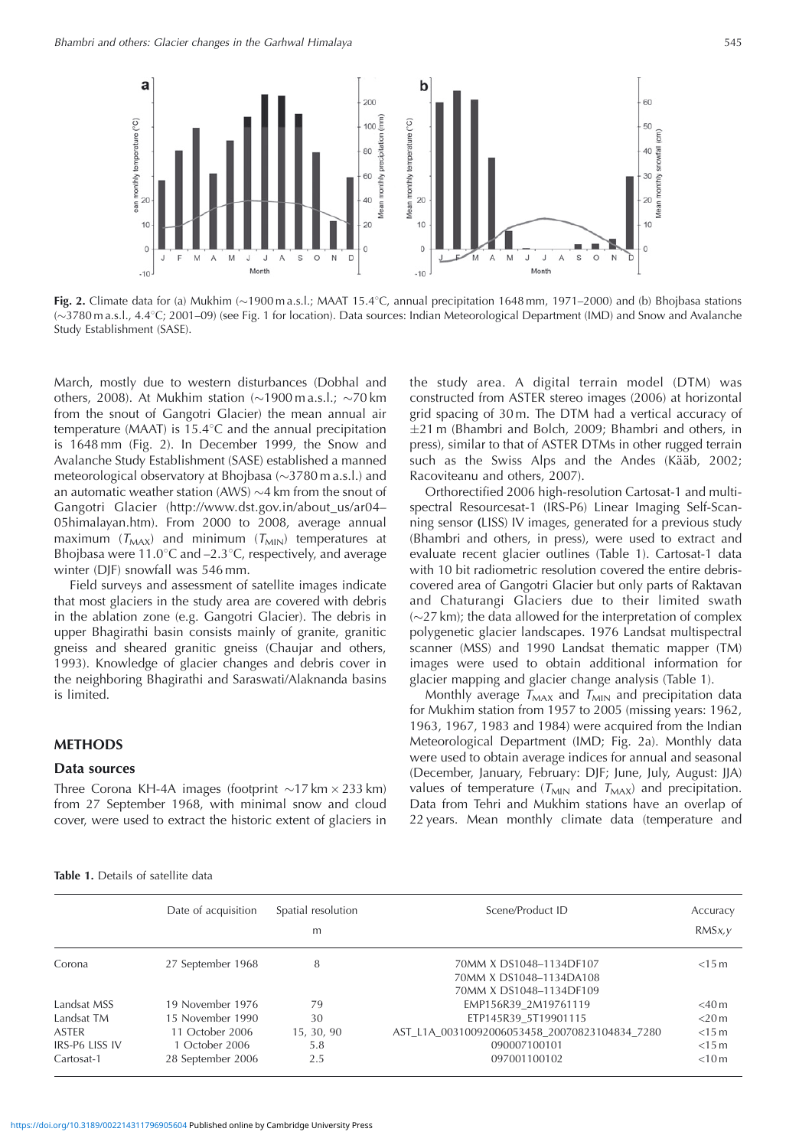

**Fig. 2.** Climate data for (a) Mukhim  $\sim$  1900 m a.s.l.; MAAT 15.4°C, annual precipitation 1648 mm, 1971–2000) and (b) Bhojbasa stations (3780 m a.s.l., 4.48C; 2001–09) (see Fig. 1 for location). Data sources: Indian Meteorological Department (IMD) and Snow and Avalanche Study Establishment (SASE).

March, mostly due to western disturbances (Dobhal and others, 2008). At Mukhim station  $\sim$  1900 m a.s.l.;  $\sim$  70 km from the snout of Gangotri Glacier) the mean annual air temperature (MAAT) is  $15.4^{\circ}$ C and the annual precipitation is 1648 mm (Fig. 2). In December 1999, the Snow and Avalanche Study Establishment (SASE) established a manned meteorological observatory at Bhojbasa  $(\sim]3780$  m a.s.l.) and an automatic weather station (AWS)  $\sim$ 4 km from the snout of Gangotri Glacier (http://www.dst.gov.in/about\_us/ar04– 05himalayan.htm). From 2000 to 2008, average annual maximum ( $T_{MAX}$ ) and minimum ( $T_{MIN}$ ) temperatures at Bhojbasa were  $11.0^{\circ}$ C and  $-2.3^{\circ}$ C, respectively, and average winter (DJF) snowfall was 546 mm.

Field surveys and assessment of satellite images indicate that most glaciers in the study area are covered with debris in the ablation zone (e.g. Gangotri Glacier). The debris in upper Bhagirathi basin consists mainly of granite, granitic gneiss and sheared granitic gneiss (Chaujar and others, 1993). Knowledge of glacier changes and debris cover in the neighboring Bhagirathi and Saraswati/Alaknanda basins is limited.

#### **METHODS**

#### **Data sources**

Three Corona KH-4A images (footprint  $\sim$ 17 km  $\times$  233 km) from 27 September 1968, with minimal snow and cloud cover, were used to extract the historic extent of glaciers in

the study area. A digital terrain model (DTM) was constructed from ASTER stereo images (2006) at horizontal grid spacing of 30 m. The DTM had a vertical accuracy of  $\pm$ 21 m (Bhambri and Bolch, 2009; Bhambri and others, in press), similar to that of ASTER DTMs in other rugged terrain such as the Swiss Alps and the Andes (Kääb, 2002; Racoviteanu and others, 2007).

Orthorectified 2006 high-resolution Cartosat-1 and multispectral Resourcesat-1 (IRS-P6) Linear Imaging Self-Scanning sensor **(**LISS) IV images, generated for a previous study (Bhambri and others, in press), were used to extract and evaluate recent glacier outlines (Table 1). Cartosat-1 data with 10 bit radiometric resolution covered the entire debriscovered area of Gangotri Glacier but only parts of Raktavan and Chaturangi Glaciers due to their limited swath  $(\sim 27 \text{ km})$ ; the data allowed for the interpretation of complex polygenetic glacier landscapes. 1976 Landsat multispectral scanner (MSS) and 1990 Landsat thematic mapper (TM) images were used to obtain additional information for glacier mapping and glacier change analysis (Table 1).

Monthly average  $T_{MAX}$  and  $T_{MIN}$  and precipitation data for Mukhim station from 1957 to 2005 (missing years: 1962, 1963, 1967, 1983 and 1984) were acquired from the Indian Meteorological Department (IMD; Fig. 2a). Monthly data were used to obtain average indices for annual and seasonal (December, January, February: DJF; June, July, August: JJA) values of temperature ( $T_{MIN}$  and  $T_{MAX}$ ) and precipitation. Data from Tehri and Mukhim stations have an overlap of 22 years. Mean monthly climate data (temperature and

|                | Date of acquisition | Spatial resolution<br>m | Scene/Product ID                              | Accuracy<br>RMSx, y |
|----------------|---------------------|-------------------------|-----------------------------------------------|---------------------|
| Corona         | 27 September 1968   | 8                       | 70MM X DS1048-1134DF107                       | $<$ 15 m            |
|                |                     |                         | 70MM X DS1048-1134DA108                       |                     |
|                |                     |                         | 70MM X DS1048-1134DF109                       |                     |
| Landsat MSS    | 19 November 1976    | 79                      | EMP156R39 2M19761119                          | $<$ 40 $m$          |
| Landsat TM     | 15 November 1990    | 30                      | ETP145R39 5T19901115                          | $<$ 20 $m$          |
| ASTER          | 11 October 2006     | 15, 30, 90              | AST L1A 00310092006053458 20070823104834 7280 | $<$ 15 $m$          |
| IRS-P6 LISS IV | 1 October 2006      | 5.8                     | 090007100101                                  | $<$ 15 m            |
| Cartosat-1     | 28 September 2006   | 2.5                     | 097001100102                                  | < 10 m              |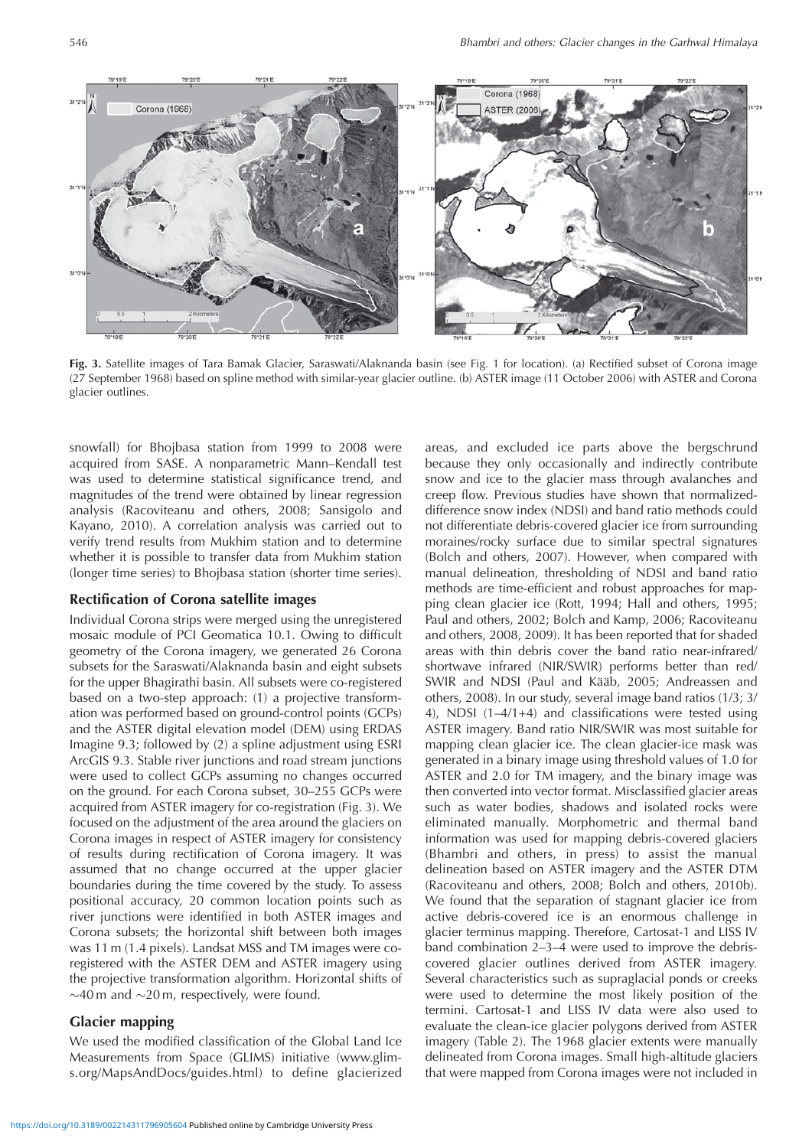

**Fig. 3.** Satellite images of Tara Bamak Glacier, Saraswati/Alaknanda basin (see Fig. 1 for location). (a) Rectified subset of Corona image (27 September 1968) based on spline method with similar-year glacier outline. (b) ASTER image (11 October 2006) with ASTER and Corona glacier outlines.

snowfall) for Bhojbasa station from 1999 to 2008 were acquired from SASE. A nonparametric Mann–Kendall test was used to determine statistical significance trend, and magnitudes of the trend were obtained by linear regression analysis (Racoviteanu and others, 2008; Sansigolo and Kayano, 2010). A correlation analysis was carried out to verify trend results from Mukhim station and to determine whether it is possible to transfer data from Mukhim station (longer time series) to Bhojbasa station (shorter time series).

#### **Rectification of Corona satellite images**

Individual Corona strips were merged using the unregistered mosaic module of PCI Geomatica 10.1. Owing to difficult geometry of the Corona imagery, we generated 26 Corona subsets for the Saraswati/Alaknanda basin and eight subsets for the upper Bhagirathi basin. All subsets were co-registered based on a two-step approach: (1) a projective transformation was performed based on ground-control points (GCPs) and the ASTER digital elevation model (DEM) using ERDAS Imagine 9.3; followed by (2) a spline adjustment using ESRI ArcGIS 9.3. Stable river junctions and road stream junctions were used to collect GCPs assuming no changes occurred on the ground. For each Corona subset, 30–255 GCPs were acquired from ASTER imagery for co-registration (Fig. 3). We focused on the adjustment of the area around the glaciers on Corona images in respect of ASTER imagery for consistency of results during rectification of Corona imagery. It was assumed that no change occurred at the upper glacier boundaries during the time covered by the study. To assess positional accuracy, 20 common location points such as river junctions were identified in both ASTER images and Corona subsets; the horizontal shift between both images was 11 m (1.4 pixels). Landsat MSS and TM images were coregistered with the ASTER DEM and ASTER imagery using the projective transformation algorithm. Horizontal shifts of  $\sim$ 40 m and  $\sim$ 20 m, respectively, were found.

# **Glacier mapping**

We used the modified classification of the Global Land Ice Measurements from Space (GLIMS) initiative (www.glims.org/MapsAndDocs/guides.html) to define glacierized areas, and excluded ice parts above the bergschrund because they only occasionally and indirectly contribute snow and ice to the glacier mass through avalanches and creep flow. Previous studies have shown that normalizeddifference snow index (NDSI) and band ratio methods could not differentiate debris-covered glacier ice from surrounding moraines/rocky surface due to similar spectral signatures (Bolch and others, 2007). However, when compared with manual delineation, thresholding of NDSI and band ratio methods are time-efficient and robust approaches for mapping clean glacier ice (Rott, 1994; Hall and others, 1995; Paul and others, 2002; Bolch and Kamp, 2006; Racoviteanu and others, 2008, 2009). It has been reported that for shaded areas with thin debris cover the band ratio near-infrared/ shortwave infrared (NIR/SWIR) performs better than red/ SWIR and NDSI (Paul and Kääb, 2005; Andreassen and others, 2008). In our study, several image band ratios (1/3; 3/ 4), NDSI (1–4/1+4) and classifications were tested using ASTER imagery. Band ratio NIR/SWIR was most suitable for mapping clean glacier ice. The clean glacier-ice mask was generated in a binary image using threshold values of 1.0 for ASTER and 2.0 for TM imagery, and the binary image was then converted into vector format. Misclassified glacier areas such as water bodies, shadows and isolated rocks were eliminated manually. Morphometric and thermal band information was used for mapping debris-covered glaciers (Bhambri and others, in press) to assist the manual delineation based on ASTER imagery and the ASTER DTM (Racoviteanu and others, 2008; Bolch and others, 2010b). We found that the separation of stagnant glacier ice from active debris-covered ice is an enormous challenge in glacier terminus mapping. Therefore, Cartosat-1 and LISS IV band combination 2–3–4 were used to improve the debriscovered glacier outlines derived from ASTER imagery. Several characteristics such as supraglacial ponds or creeks were used to determine the most likely position of the termini. Cartosat-1 and LISS IV data were also used to evaluate the clean-ice glacier polygons derived from ASTER imagery (Table 2). The 1968 glacier extents were manually delineated from Corona images. Small high-altitude glaciers that were mapped from Corona images were not included in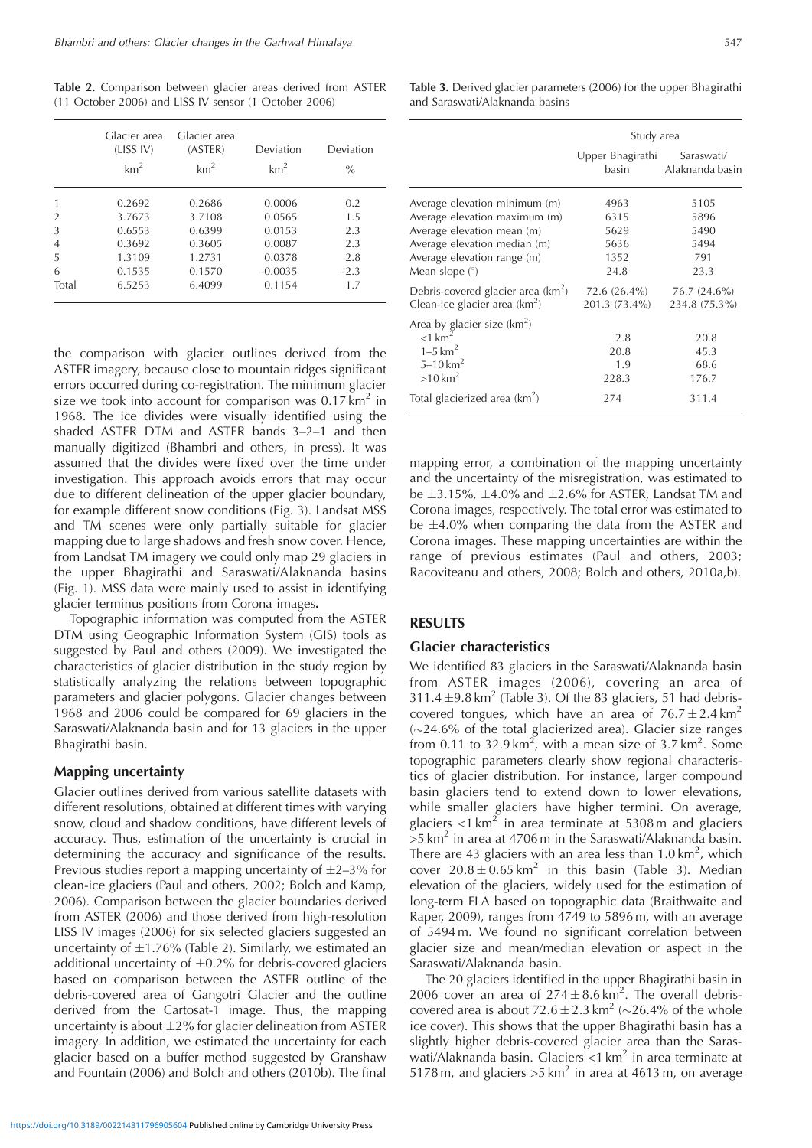**Table 2.** Comparison between glacier areas derived from ASTER (11 October 2006) and LISS IV sensor (1 October 2006)

|       | Glacier area<br>(LISS IV)<br>km <sup>2</sup> | Glacier area<br>(ASTER)<br>km <sup>2</sup> | Deviation<br>km <sup>2</sup> | Deviation<br>$\frac{0}{0}$ |
|-------|----------------------------------------------|--------------------------------------------|------------------------------|----------------------------|
|       | 0.2692                                       | 0.2686                                     | 0.0006                       | 0.2                        |
| 2     | 3.7673                                       | 3.7108                                     | 0.0565                       | 1.5                        |
| 3     | 0.6553                                       | 0.6399                                     | 0.0153                       | 2.3                        |
| 4     | 0.3692                                       | 0.3605                                     | 0.0087                       | 2.3                        |
| 5     | 1.3109                                       | 1.2731                                     | 0.0378                       | 2.8                        |
| 6     | 0.1535                                       | 0.1570                                     | $-0.0035$                    | $-2.3$                     |
| Total | 6.5253                                       | 6.4099                                     | 0.1154                       | 1.7                        |

the comparison with glacier outlines derived from the ASTER imagery, because close to mountain ridges significant errors occurred during co-registration. The minimum glacier size we took into account for comparison was  $0.17 \text{ km}^2$  in 1968. The ice divides were visually identified using the shaded ASTER DTM and ASTER bands 3–2–1 and then manually digitized (Bhambri and others, in press). It was assumed that the divides were fixed over the time under investigation. This approach avoids errors that may occur due to different delineation of the upper glacier boundary, for example different snow conditions (Fig. 3). Landsat MSS and TM scenes were only partially suitable for glacier mapping due to large shadows and fresh snow cover. Hence, from Landsat TM imagery we could only map 29 glaciers in the upper Bhagirathi and Saraswati/Alaknanda basins (Fig. 1). MSS data were mainly used to assist in identifying glacier terminus positions from Corona images**.**

Topographic information was computed from the ASTER DTM using Geographic Information System (GIS) tools as suggested by Paul and others (2009). We investigated the characteristics of glacier distribution in the study region by statistically analyzing the relations between topographic parameters and glacier polygons. Glacier changes between 1968 and 2006 could be compared for 69 glaciers in the Saraswati/Alaknanda basin and for 13 glaciers in the upper Bhagirathi basin.

#### **Mapping uncertainty**

Glacier outlines derived from various satellite datasets with different resolutions, obtained at different times with varying snow, cloud and shadow conditions, have different levels of accuracy. Thus, estimation of the uncertainty is crucial in determining the accuracy and significance of the results. Previous studies report a mapping uncertainty of  $\pm 2\text{--}3\%$  for clean-ice glaciers (Paul and others, 2002; Bolch and Kamp, 2006). Comparison between the glacier boundaries derived from ASTER (2006) and those derived from high-resolution LISS IV images (2006) for six selected glaciers suggested an uncertainty of  $\pm 1.76\%$  (Table 2). Similarly, we estimated an additional uncertainty of  $\pm 0.2$ % for debris-covered glaciers based on comparison between the ASTER outline of the debris-covered area of Gangotri Glacier and the outline derived from the Cartosat-1 image. Thus, the mapping uncertainty is about  $\pm 2\%$  for glacier delineation from ASTER imagery. In addition, we estimated the uncertainty for each glacier based on a buffer method suggested by Granshaw and Fountain (2006) and Bolch and others (2010b). The final

**Table 3.** Derived glacier parameters (2006) for the upper Bhagirathi and Saraswati/Alaknanda basins

|                                                                         | Study area                    |                               |  |  |  |  |
|-------------------------------------------------------------------------|-------------------------------|-------------------------------|--|--|--|--|
|                                                                         | Upper Bhagirathi<br>basin     | Saraswati/<br>Alaknanda basin |  |  |  |  |
| Average elevation minimum (m)<br>Average elevation maximum (m)          | 4963<br>6315                  | 5105<br>5896                  |  |  |  |  |
| Average elevation mean (m)                                              | 5629                          | 5490                          |  |  |  |  |
| Average elevation median (m)                                            | 5636                          | 5494                          |  |  |  |  |
| Average elevation range (m)                                             | 1352                          | 791                           |  |  |  |  |
| Mean slope $(°)$                                                        | 24.8                          | 23.3                          |  |  |  |  |
| Debris-covered glacier area $(km^2)$<br>Clean-ice glacier area $(km^2)$ | 72.6 (26.4%)<br>201.3 (73.4%) | 76.7 (24.6%)<br>234.8 (75.3%) |  |  |  |  |
| Area by glacier size $(km^2)$                                           |                               |                               |  |  |  |  |
| $<$ 1 km <sup>2</sup>                                                   | 2.8                           | 20.8                          |  |  |  |  |
| $1 - 5$ km <sup>2</sup>                                                 | 20.8                          | 45.3                          |  |  |  |  |
| $5 - 10$ km <sup>2</sup>                                                | 1.9                           | 68.6                          |  |  |  |  |
| $>10 \,\mathrm{km}^2$                                                   | 228.3                         | 176.7                         |  |  |  |  |
| Total glacierized area $(km^2)$                                         | 274                           | 311.4                         |  |  |  |  |

mapping error, a combination of the mapping uncertainty and the uncertainty of the misregistration, was estimated to be  $\pm$ 3.15%,  $\pm$ 4.0% and  $\pm$ 2.6% for ASTER, Landsat TM and Corona images, respectively. The total error was estimated to be  $\pm$ 4.0% when comparing the data from the ASTER and Corona images. These mapping uncertainties are within the range of previous estimates (Paul and others, 2003; Racoviteanu and others, 2008; Bolch and others, 2010a,b).

# **RESULTS**

#### **Glacier characteristics**

We identified 83 glaciers in the Saraswati/Alaknanda basin from ASTER images (2006), covering an area of 311.4  $\pm$ 9.8 km<sup>2</sup> (Table 3). Of the 83 glaciers, 51 had debriscovered tongues, which have an area of  $76.7 \pm 2.4 \text{ km}^2$  $(\sim$ 24.6% of the total glacierized area). Glacier size ranges from 0.11 to  $32.9 \text{ km}^2$ , with a mean size of  $3.7 \text{ km}^2$ . Some topographic parameters clearly show regional characteristics of glacier distribution. For instance, larger compound basin glaciers tend to extend down to lower elevations, while smaller glaciers have higher termini. On average, glaciers  $\langle 1 \text{ km}^2 \rangle$  in area terminate at 5308 m and glaciers  $>5$  km<sup>2</sup> in area at 4706 m in the Saraswati/Alaknanda basin. There are 43 glaciers with an area less than  $1.0 \text{ km}^2$ , which cover  $20.8 \pm 0.65 \text{ km}^2$  in this basin (Table 3). Median elevation of the glaciers, widely used for the estimation of long-term ELA based on topographic data (Braithwaite and Raper, 2009), ranges from 4749 to 5896 m, with an average of 5494 m. We found no significant correlation between glacier size and mean/median elevation or aspect in the Saraswati/Alaknanda basin.

The 20 glaciers identified in the upper Bhagirathi basin in 2006 cover an area of  $274 \pm 8.6 \text{ km}^2$ . The overall debriscovered area is about 72.6  $\pm$  2.3 km<sup>2</sup> (~26.4% of the whole ice cover). This shows that the upper Bhagirathi basin has a slightly higher debris-covered glacier area than the Saraswati/Alaknanda basin. Glaciers  $<$ 1 km<sup>2</sup> in area terminate at 5178 m, and glaciers  $>5$  km<sup>2</sup> in area at 4613 m, on average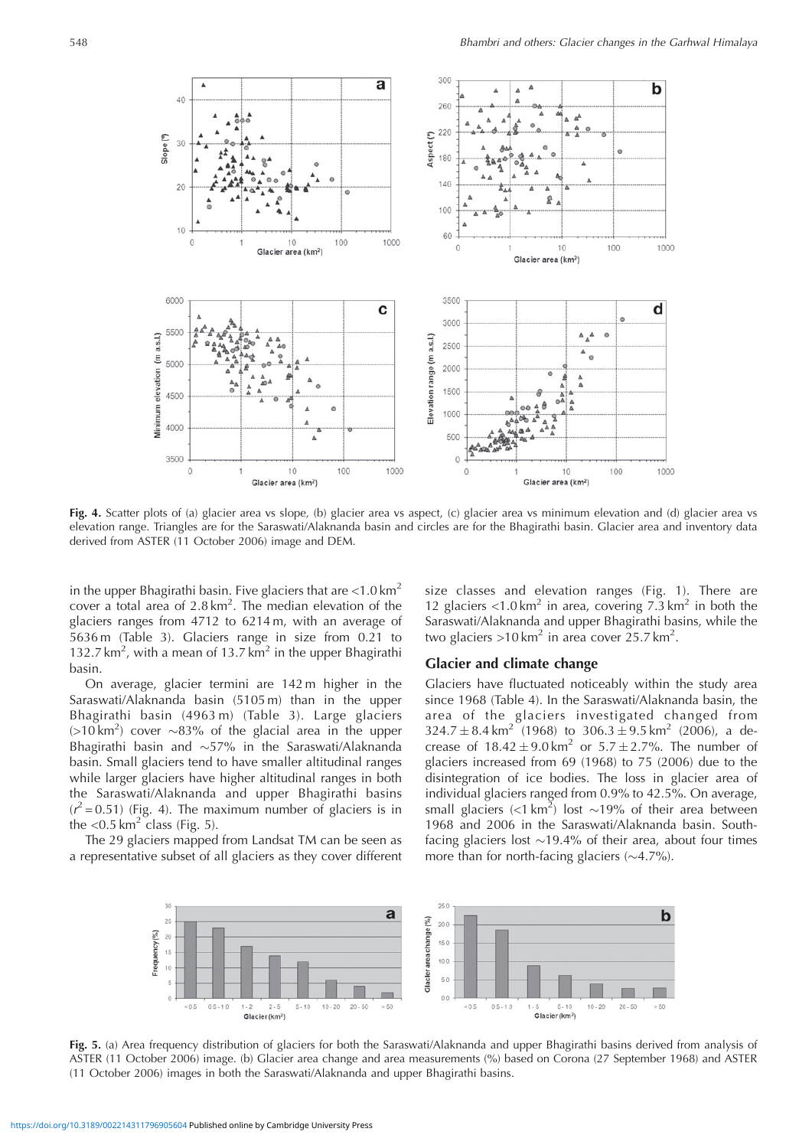

**Fig. 4.** Scatter plots of (a) glacier area vs slope, (b) glacier area vs aspect, (c) glacier area vs minimum elevation and (d) glacier area vs elevation range. Triangles are for the Saraswati/Alaknanda basin and circles are for the Bhagirathi basin. Glacier area and inventory data derived from ASTER (11 October 2006) image and DEM.

in the upper Bhagirathi basin. Five glaciers that are  $< 1.0 \text{ km}^2$ cover a total area of  $2.8 \text{ km}^2$ . The median elevation of the glaciers ranges from 4712 to 6214 m, with an average of 5636 m (Table 3). Glaciers range in size from 0.21 to 132.7 km<sup>2</sup>, with a mean of 13.7 km<sup>2</sup> in the upper Bhagirathi basin.

On average, glacier termini are 142 m higher in the Saraswati/Alaknanda basin (5105 m) than in the upper Bhagirathi basin (4963 m) (Table 3). Large glaciers  $(>10 \text{ km}^2)$  cover  $\sim 83\%$  of the glacial area in the upper Bhagirathi basin and  $\sim$ 57% in the Saraswati/Alaknanda basin. Small glaciers tend to have smaller altitudinal ranges while larger glaciers have higher altitudinal ranges in both the Saraswati/Alaknanda and upper Bhagirathi basins  $(r^2 = 0.51)$  (Fig. 4). The maximum number of glaciers is in the  $<$ 0.5 km<sup>2</sup> class (Fig. 5).

The 29 glaciers mapped from Landsat TM can be seen as a representative subset of all glaciers as they cover different size classes and elevation ranges (Fig. 1). There are 12 glaciers  $<$ 1.0 km<sup>2</sup> in area, covering 7.3 km<sup>2</sup> in both the Saraswati/Alaknanda and upper Bhagirathi basins, while the two glaciers >10 km<sup>2</sup> in area cover  $25.7$  km<sup>2</sup>.

#### **Glacier and climate change**

Glaciers have fluctuated noticeably within the study area since 1968 (Table 4). In the Saraswati/Alaknanda basin, the area of the glaciers investigated changed from  $324.7 \pm 8.4 \text{ km}^2$  (1968) to  $306.3 \pm 9.5 \text{ km}^2$  (2006), a decrease of  $18.42 \pm 9.0 \text{ km}^2$  or  $5.7 \pm 2.7$ %. The number of glaciers increased from 69 (1968) to 75 (2006) due to the disintegration of ice bodies. The loss in glacier area of individual glaciers ranged from 0.9% to 42.5%. On average, small glaciers (<1 km<sup>2</sup>) lost  $\sim$ 19% of their area between 1968 and 2006 in the Saraswati/Alaknanda basin. Southfacing glaciers lost  $\sim$ 19.4% of their area, about four times more than for north-facing glaciers  $(\sim 4.7\%)$ .



**Fig. 5.** (a) Area frequency distribution of glaciers for both the Saraswati/Alaknanda and upper Bhagirathi basins derived from analysis of ASTER (11 October 2006) image. (b) Glacier area change and area measurements (%) based on Corona (27 September 1968) and ASTER (11 October 2006) images in both the Saraswati/Alaknanda and upper Bhagirathi basins.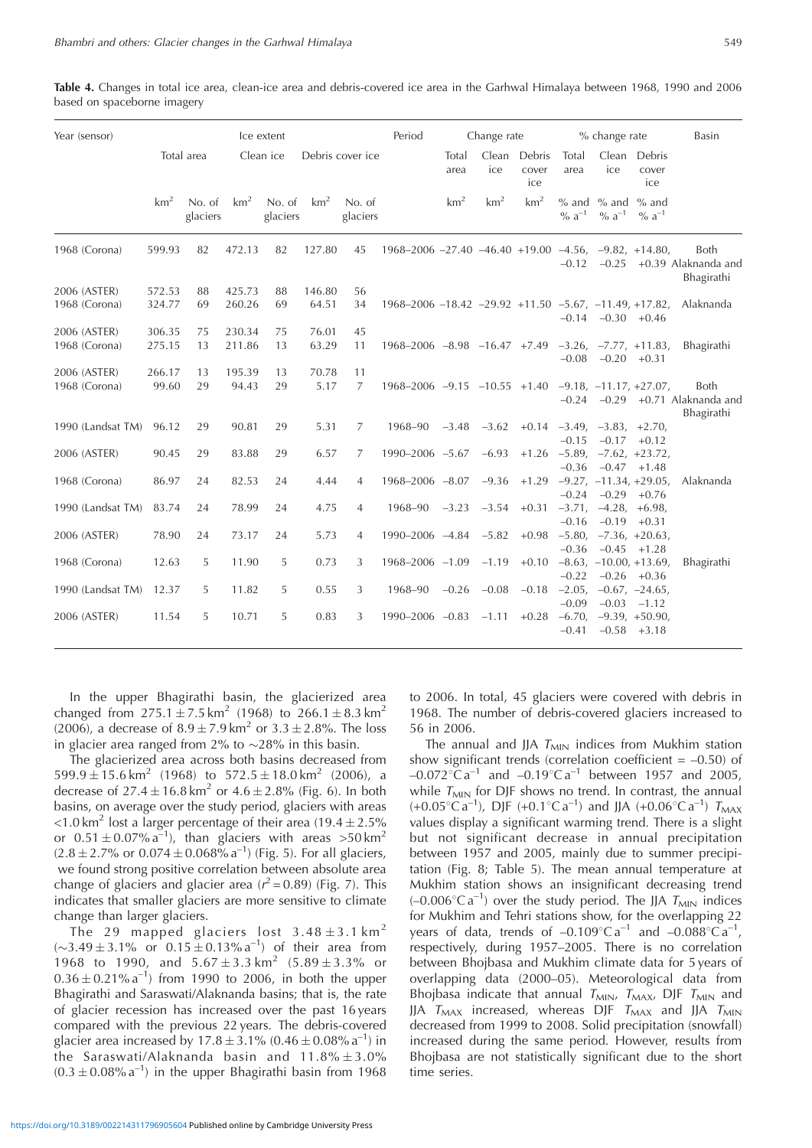**Table 4.** Changes in total ice area, clean-ice area and debris-covered ice area in the Garhwal Himalaya between 1968, 1990 and 2006 based on spaceborne imagery

| Year (sensor)                 |                  |                    |                  | Ice extent         |                 |                    | Period                                                               |                 | Change rate     |                        |                       | % change rate                                    |                                     | Basin                                     |
|-------------------------------|------------------|--------------------|------------------|--------------------|-----------------|--------------------|----------------------------------------------------------------------|-----------------|-----------------|------------------------|-----------------------|--------------------------------------------------|-------------------------------------|-------------------------------------------|
|                               |                  | Total area         |                  | Clean ice          |                 | Debris cover ice   |                                                                      | Total<br>area   | Clean<br>ice    | Debris<br>cover<br>ice | Total<br>area         | Clean<br>ice                                     | Debris<br>cover<br>ice              |                                           |
|                               | km <sup>2</sup>  | No. of<br>glaciers | km <sup>2</sup>  | No. of<br>glaciers | km <sup>2</sup> | No. of<br>glaciers |                                                                      | km <sup>2</sup> | km <sup>2</sup> | km <sup>2</sup>        | $%$ and<br>% $a^{-1}$ | $%$ and<br>$\% a^{-1}$                           | $%$ and<br>$\% a^{-1}$              |                                           |
| 1968 (Corona)                 | 599.93           | 82                 | 472.13           | 82                 | 127.80          | 45                 | $1968 - 2006 - 27.40 - 46.40 + 19.00 - 4.56$ , $-9.82$ , $+14.80$ ,  |                 |                 |                        | $-0.12$               | $-0.25$                                          |                                     | Both<br>+0.39 Alaknanda and<br>Bhagirathi |
| 2006 (ASTER)<br>1968 (Corona) | 572.53<br>324.77 | 88<br>69           | 425.73<br>260.26 | 88<br>69           | 146.80<br>64.51 | 56<br>34           | $1968 - 2006 - 18.42 - 29.92 + 11.50 - 5.67$ , $-11.49$ , $+17.82$ , |                 |                 |                        |                       | $-0.14$ $-0.30$ $+0.46$                          |                                     | Alaknanda                                 |
| 2006 (ASTER)<br>1968 (Corona) | 306.35<br>275.15 | 75<br>13           | 230.34<br>211.86 | 75<br>13           | 76.01<br>63.29  | 45<br>11           | $1968 - 2006 - 8.98 - 16.47 + 7.49$                                  |                 |                 |                        | $-0.08$               | $-3.26, -7.77, +11.83,$<br>$-0.20$               | $+0.31$                             | <b>Bhagirathi</b>                         |
| 2006 (ASTER)<br>1968 (Corona) | 266.17<br>99.60  | 13<br>29           | 195.39<br>94.43  | 13<br>29           | 70.78<br>5.17   | 11<br>7            | $1968 - 2006 - 9.15 - 10.55 + 1.40$                                  |                 |                 |                        | $-0.24$               | $-9.18, -11.17, +27.07,$<br>$-0.29$              |                                     | Both<br>+0.71 Alaknanda and               |
| 1990 (Landsat TM)             | 96.12            | 29                 | 90.81            | 29                 | 5.31            | 7                  | 1968-90                                                              |                 | $-3.48$ $-3.62$ |                        | $-0.15$               | $+0.14$ $-3.49$ , $-3.83$ , $+2.70$ ,<br>$-0.17$ | $+0.12$                             | Bhagirathi                                |
| 2006 (ASTER)                  | 90.45            | 29                 | 83.88            | 29                 | 6.57            | 7                  | $1990 - 2006 - 5.67 -6.93$                                           |                 |                 |                        | $-0.36$               | $+1.26$ $-5.89$ , $-7.62$ , $+23.72$ ,           | $-0.47 +1.48$                       |                                           |
| 1968 (Corona)                 | 86.97            | 24                 | 82.53            | 24                 | 4.44            | 4                  | $1968 - 2006 - 8.07 - 9.36$                                          |                 |                 | $+1.29$                | $-0.24$               | $-9.27, -11.34, +29.05,$<br>$-0.29$              | $+0.76$                             | Alaknanda                                 |
| 1990 (Landsat TM)             | 83.74            | 24                 | 78.99            | 24                 | 4.75            | $\overline{4}$     | 1968-90                                                              |                 | $-3.23 -3.54$   | $+0.31$                | $-0.16$               | $-3.71, -4.28$<br>$-0.19$                        | $+6.98$<br>$+0.31$                  |                                           |
| 2006 (ASTER)                  | 78.90            | 24                 | 73.17            | 24                 | 5.73            | 4                  | 1990-2006 -4.84 -5.82                                                |                 |                 | $+0.98$                | $-0.36$               | $-5.80, -7.36, +20.63,$<br>$-0.45$               | $+1.28$                             |                                           |
| 1968 (Corona)                 | 12.63            | 5                  | 11.90            | 5                  | 0.73            | 3                  | 1968-2006 -1.09                                                      |                 | $-1.19$         | $+0.10$                | $-0.22$               | $-8.63, -10.00, +13.69$<br>$-0.26$               | $+0.36$                             | <b>Bhagirathi</b>                         |
| 1990 (Landsat TM)             | 12.37            | 5                  | 11.82            | 5                  | 0.55            | 3                  | 1968-90                                                              | $-0.26$         | $-0.08$         | $-0.18$                | $-0.09$               | $-2.05, -0.67, -24.65,$<br>$-0.03$               | $-1.12$                             |                                           |
| 2006 (ASTER)                  | 11.54            | 5                  | 10.71            | 5                  | 0.83            | 3                  | 1990-2006 -0.83                                                      |                 | $-1.11$         | $+0.28$                | $-6.70$ ,<br>$-0.41$  |                                                  | $-9.39, +50.90,$<br>$-0.58$ $+3.18$ |                                           |

In the upper Bhagirathi basin, the glacierized area changed from  $275.1 \pm 7.5 \text{ km}^2$  (1968) to  $266.1 \pm 8.3 \text{ km}^2$ (2006), a decrease of  $8.9 \pm 7.9$  km<sup>2</sup> or  $3.3 \pm 2.8$ %. The loss in glacier area ranged from 2% to  $\sim$ 28% in this basin.

The glacierized area across both basins decreased from  $599.9 \pm 15.6 \text{ km}^2$  (1968) to  $572.5 \pm 18.0 \text{ km}^2$  (2006), a decrease of  $27.4 \pm 16.8 \,\mathrm{km^2}$  or  $4.6 \pm 2.8\%$  (Fig. 6). In both basins, on average over the study period, glaciers with areas <1.0 km<sup>2</sup> lost a larger percentage of their area (19.4  $\pm$  2.5%) or  $0.51 \pm 0.07\%$  a<sup>-1</sup>), than glaciers with areas  $>50 \text{ km}^2$  $(2.8 \pm 2.7\% \text{ or } 0.074 \pm 0.068\% \text{ a}^{-1})$  (Fig. 5). For all glaciers, we found strong positive correlation between absolute area change of glaciers and glacier area ( $r^2 = 0.89$ ) (Fig. 7). This indicates that smaller glaciers are more sensitive to climate change than larger glaciers.

The 29 mapped glaciers lost  $3.48 \pm 3.1$  km<sup>2</sup>  $(\sim 3.49 \pm 3.1\%$  or  $0.15 \pm 0.13\%$  a<sup>-1</sup>) of their area from 1968 to 1990, and  $5.67 \pm 3.3 \text{ km}^2$  (5.89  $\pm 3.3\%$  or  $0.36 \pm 0.21\%$  a<sup>-1</sup>) from 1990 to 2006, in both the upper Bhagirathi and Saraswati/Alaknanda basins; that is, the rate of glacier recession has increased over the past 16 years compared with the previous 22 years. The debris-covered glacier area increased by  $17.8 \pm 3.1\%$  (0.46  $\pm$  0.08% a<sup>-1</sup>) in the Saraswati/Alaknanda basin and  $11.8\% \pm 3.0\%$  $(0.3 \pm 0.08\% \text{ a}^{-1})$  in the upper Bhagirathi basin from 1968

to 2006. In total, 45 glaciers were covered with debris in 1968. The number of debris-covered glaciers increased to 56 in 2006.

The annual and JJA  $T<sub>MIN</sub>$  indices from Mukhim station show significant trends (correlation coefficient  $= -0.50$ ) of  $-0.072^{\circ}$ C a<sup>-1</sup> and  $-0.19^{\circ}$ C a<sup>-1</sup> between 1957 and 2005, while  $T<sub>MIN</sub>$  for DJF shows no trend. In contrast, the annual  $(+0.05\degree \text{C a}^{-1})$ , DJF  $(+0.1\degree \text{C a}^{-1})$  and JJA  $(+0.06\degree \text{C a}^{-1})$   $T_{MAX}$ values display a significant warming trend. There is a slight but not significant decrease in annual precipitation between 1957 and 2005, mainly due to summer precipitation (Fig. 8; Table 5). The mean annual temperature at Mukhim station shows an insignificant decreasing trend  $(-0.006^{\circ}$ C a<sup>-1</sup>) over the study period. The JJA  $T_{MIN}$  indices for Mukhim and Tehri stations show, for the overlapping 22 years of data, trends of  $-0.109^{\circ}$ C a<sup>-1</sup> and  $-0.088^{\circ}$ C a<sup>-1</sup>, respectively, during 1957–2005. There is no correlation between Bhojbasa and Mukhim climate data for 5 years of overlapping data (2000–05). Meteorological data from Bhojbasa indicate that annual  $T_{MIN}$ ,  $T_{MAX}$ , DJF  $T_{MIN}$  and JJA  $T_{\text{MAX}}$  increased, whereas DJF  $T_{\text{MAX}}$  and JJA  $T_{\text{MIN}}$ decreased from 1999 to 2008. Solid precipitation (snowfall) increased during the same period. However, results from Bhojbasa are not statistically significant due to the short time series.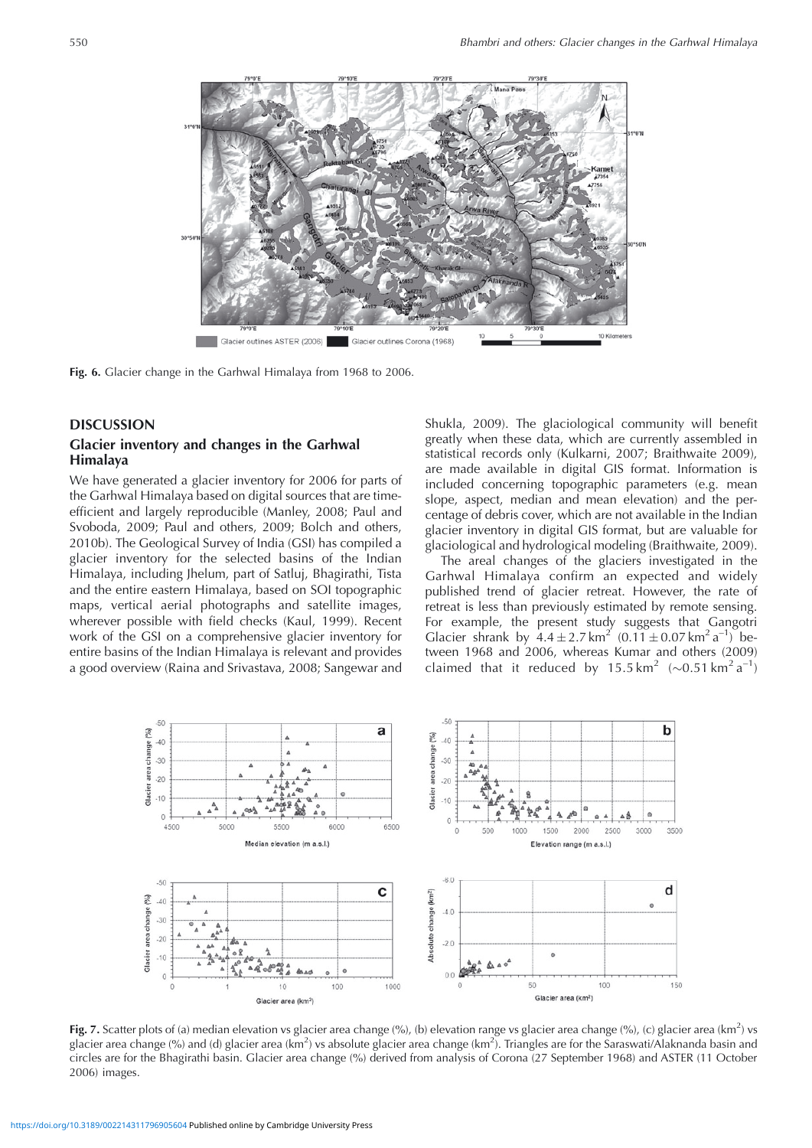

**Fig. 6.** Glacier change in the Garhwal Himalaya from 1968 to 2006.

#### **DISCUSSION**

# **Glacier inventory and changes in the Garhwal Himalaya**

We have generated a glacier inventory for 2006 for parts of the Garhwal Himalaya based on digital sources that are timeefficient and largely reproducible (Manley, 2008; Paul and Svoboda, 2009; Paul and others, 2009; Bolch and others, 2010b). The Geological Survey of India (GSI) has compiled a glacier inventory for the selected basins of the Indian Himalaya, including Jhelum, part of Satluj, Bhagirathi, Tista and the entire eastern Himalaya, based on SOI topographic maps, vertical aerial photographs and satellite images, wherever possible with field checks (Kaul, 1999). Recent work of the GSI on a comprehensive glacier inventory for entire basins of the Indian Himalaya is relevant and provides a good overview (Raina and Srivastava, 2008; Sangewar and Shukla, 2009). The glaciological community will benefit greatly when these data, which are currently assembled in statistical records only (Kulkarni, 2007; Braithwaite 2009), are made available in digital GIS format. Information is included concerning topographic parameters (e.g. mean slope, aspect, median and mean elevation) and the percentage of debris cover, which are not available in the Indian glacier inventory in digital GIS format, but are valuable for glaciological and hydrological modeling (Braithwaite, 2009).

The areal changes of the glaciers investigated in the Garhwal Himalaya confirm an expected and widely published trend of glacier retreat. However, the rate of retreat is less than previously estimated by remote sensing. For example, the present study suggests that Gangotri Glacier shrank by  $4.4 \pm 2.7 \text{ km}^2 (0.11 \pm 0.07 \text{ km}^2 \text{ a}^{-1})$  between 1968 and 2006, whereas Kumar and others (2009) claimed that it reduced by 15.5 km<sup>2</sup> ( $\sim$ 0.51 km<sup>2</sup> a<sup>-1</sup>)



Fig. 7. Scatter plots of (a) median elevation vs glacier area change (%), (b) elevation range vs glacier area change (%), (c) glacier area (km<sup>2</sup>) vs glacier area change (%) and (d) glacier area (km<sup>2</sup>) vs absolute glacier area change (km<sup>2</sup>). Triangles are for the Saraswati/Alaknanda basin and circles are for the Bhagirathi basin. Glacier area change (%) derived from analysis of Corona (27 September 1968) and ASTER (11 October 2006) images.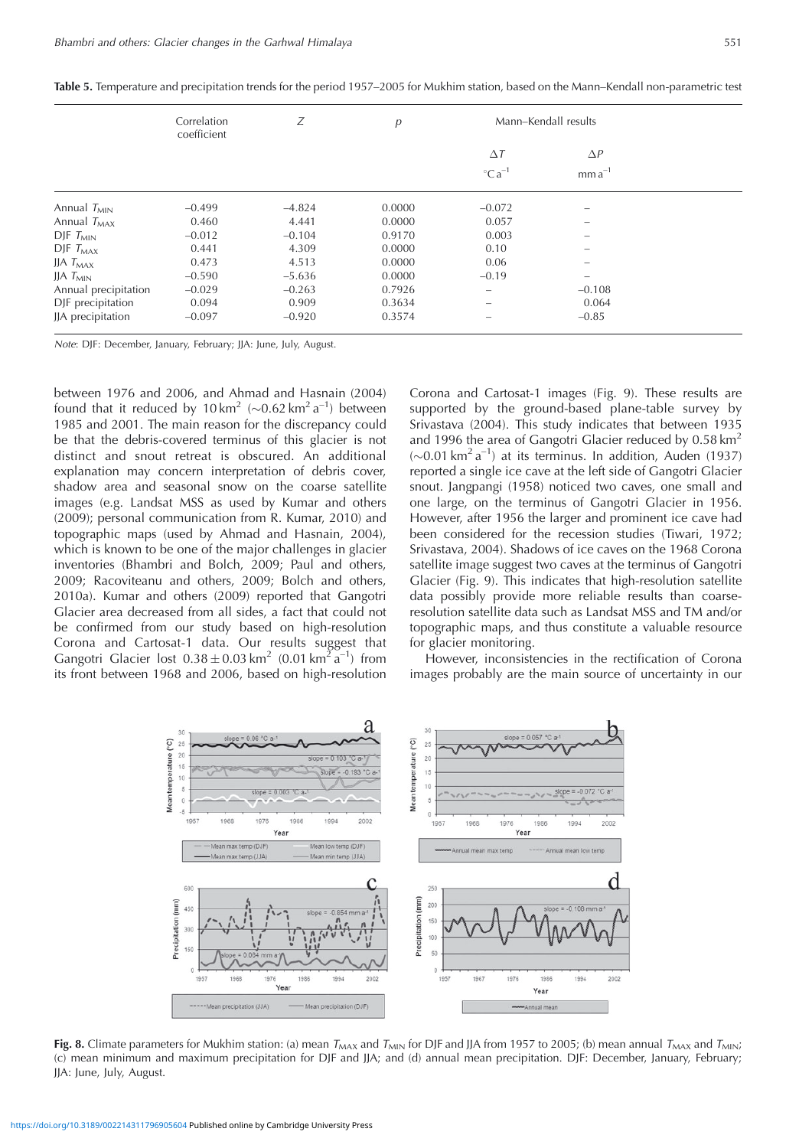|                      | Correlation<br>coefficient | Ζ        | р      | Mann-Kendall results           |                          |  |
|----------------------|----------------------------|----------|--------|--------------------------------|--------------------------|--|
|                      |                            |          |        | $\Delta T$                     | $\Delta P$               |  |
|                      |                            |          |        | $^{\circ}$ Ca <sup>-1</sup>    | $mma^{-1}$               |  |
| Annual $T_{MIN}$     | $-0.499$                   | $-4.824$ | 0.0000 | $-0.072$                       | $\overline{\phantom{0}}$ |  |
| Annual $T_{MAX}$     | 0.460                      | 4.441    | 0.0000 | 0.057                          | $\overline{\phantom{0}}$ |  |
| $D$ JF $T_{MIN}$     | $-0.012$                   | $-0.104$ | 0.9170 | 0.003                          | $\overline{\phantom{0}}$ |  |
| $D$ JF $T_{MAX}$     | 0.441                      | 4.309    | 0.0000 | 0.10                           |                          |  |
| JJA $T_{MAX}$        | 0.473                      | 4.513    | 0.0000 | 0.06                           | -                        |  |
| JJA $T_{MIN}$        | $-0.590$                   | $-5.636$ | 0.0000 | $-0.19$                        | $\overline{\phantom{0}}$ |  |
| Annual precipitation | $-0.029$                   | $-0.263$ | 0.7926 | $\overline{\phantom{m}}$       | $-0.108$                 |  |
| DJF precipitation    | 0.094                      | 0.909    | 0.3634 | $\qquad \qquad \longleftarrow$ | 0.064                    |  |
| JJA precipitation    | $-0.097$                   | $-0.920$ | 0.3574 | $\overline{\phantom{a}}$       | $-0.85$                  |  |

**Table 5.** Temperature and precipitation trends for the period 1957–2005 for Mukhim station, based on the Mann–Kendall non-parametric test

Note: DJF: December, January, February; JJA: June, July, August.

between 1976 and 2006, and Ahmad and Hasnain (2004) found that it reduced by 10 km<sup>2</sup> ( $\sim$ 0.62 km<sup>2</sup> a<sup>-1</sup>) between 1985 and 2001. The main reason for the discrepancy could be that the debris-covered terminus of this glacier is not distinct and snout retreat is obscured. An additional explanation may concern interpretation of debris cover, shadow area and seasonal snow on the coarse satellite images (e.g. Landsat MSS as used by Kumar and others (2009); personal communication from R. Kumar, 2010) and topographic maps (used by Ahmad and Hasnain, 2004), which is known to be one of the major challenges in glacier inventories (Bhambri and Bolch, 2009; Paul and others, 2009; Racoviteanu and others, 2009; Bolch and others, 2010a). Kumar and others (2009) reported that Gangotri Glacier area decreased from all sides, a fact that could not be confirmed from our study based on high-resolution Corona and Cartosat-1 data. Our results suggest that Gangotri Glacier lost  $0.38 \pm 0.03$  km<sup>2</sup> (0.01 km<sup>2</sup> a<sup>-1</sup>) from its front between 1968 and 2006, based on high-resolution

Corona and Cartosat-1 images (Fig. 9). These results are supported by the ground-based plane-table survey by Srivastava (2004). This study indicates that between 1935 and 1996 the area of Gangotri Glacier reduced by 0.58 km<sup>2</sup>  $(\sim 0.01 \text{ km}^2 \text{ a}^{-1})$  at its terminus. In addition, Auden (1937) reported a single ice cave at the left side of Gangotri Glacier snout. Jangpangi (1958) noticed two caves, one small and one large, on the terminus of Gangotri Glacier in 1956. However, after 1956 the larger and prominent ice cave had been considered for the recession studies (Tiwari, 1972; Srivastava, 2004). Shadows of ice caves on the 1968 Corona satellite image suggest two caves at the terminus of Gangotri Glacier (Fig. 9). This indicates that high-resolution satellite data possibly provide more reliable results than coarseresolution satellite data such as Landsat MSS and TM and/or topographic maps, and thus constitute a valuable resource for glacier monitoring.

However, inconsistencies in the rectification of Corona images probably are the main source of uncertainty in our



**Fig. 8.** Climate parameters for Mukhim station: (a) mean  $T_{MAX}$  and  $T_{MIN}$  for DJF and JJA from 1957 to 2005; (b) mean annual  $T_{MAX}$  and  $T_{MIN}$ ; (c) mean minimum and maximum precipitation for DJF and JJA; and (d) annual mean precipitation. DJF: December, January, February; JJA: June, July, August.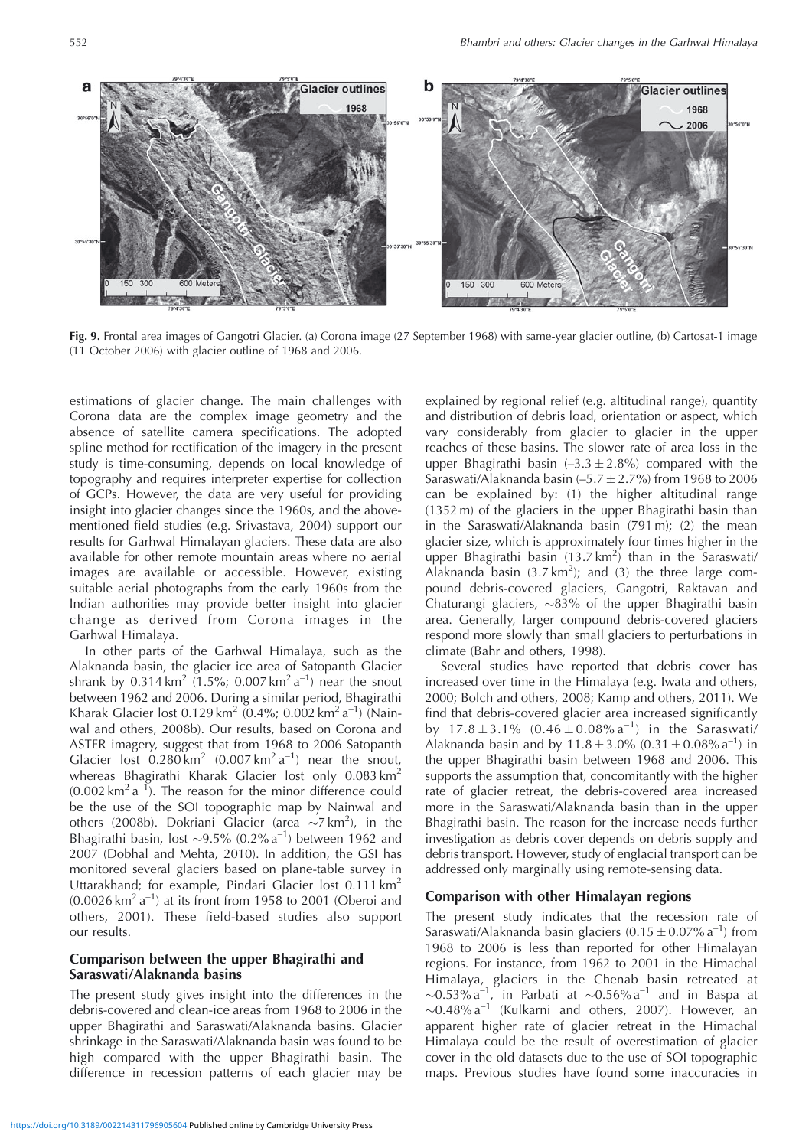

**Fig. 9.** Frontal area images of Gangotri Glacier. (a) Corona image (27 September 1968) with same-year glacier outline, (b) Cartosat-1 image (11 October 2006) with glacier outline of 1968 and 2006.

estimations of glacier change. The main challenges with Corona data are the complex image geometry and the absence of satellite camera specifications. The adopted spline method for rectification of the imagery in the present study is time-consuming, depends on local knowledge of topography and requires interpreter expertise for collection of GCPs. However, the data are very useful for providing insight into glacier changes since the 1960s, and the abovementioned field studies (e.g. Srivastava, 2004) support our results for Garhwal Himalayan glaciers. These data are also available for other remote mountain areas where no aerial images are available or accessible. However, existing suitable aerial photographs from the early 1960s from the Indian authorities may provide better insight into glacier change as derived from Corona images in the Garhwal Himalaya.

In other parts of the Garhwal Himalaya, such as the Alaknanda basin, the glacier ice area of Satopanth Glacier shrank by  $0.314 \text{ km}^2$  (1.5%;  $0.007 \text{ km}^2 \text{ a}^{-1}$ ) near the snout between 1962 and 2006. During a similar period, Bhagirathi Kharak Glacier lost 0.129 km<sup>2</sup> (0.4%; 0.002 km<sup>2</sup> a<sup>-1</sup>) (Nainwal and others, 2008b). Our results, based on Corona and ASTER imagery, suggest that from 1968 to 2006 Satopanth Glacier lost  $0.280 \text{ km}^2$  (0.007 km<sup>2</sup> a<sup>-1</sup>) near the snout, whereas Bhagirathi Kharak Glacier lost only  $0.083 \text{ km}^2$  $(0.002 \text{ km}^2 \text{ a}^{-1})$ . The reason for the minor difference could be the use of the SOI topographic map by Nainwal and others (2008b). Dokriani Glacier (area  $\sim$ 7 km<sup>2</sup>), in the Bhagirathi basin, lost  $\sim$ 9.5% (0.2% a<sup>-1</sup>) between 1962 and 2007 (Dobhal and Mehta, 2010). In addition, the GSI has monitored several glaciers based on plane-table survey in Uttarakhand; for example, Pindari Glacier lost 0.111 km<sup>2</sup>  $(0.0026 \text{ km}^2 \text{ a}^{-1})$  at its front from 1958 to 2001 (Oberoi and others, 2001). These field-based studies also support our results.

## **Comparison between the upper Bhagirathi and Saraswati/Alaknanda basins**

The present study gives insight into the differences in the debris-covered and clean-ice areas from 1968 to 2006 in the upper Bhagirathi and Saraswati/Alaknanda basins. Glacier shrinkage in the Saraswati/Alaknanda basin was found to be high compared with the upper Bhagirathi basin. The difference in recession patterns of each glacier may be explained by regional relief (e.g. altitudinal range), quantity and distribution of debris load, orientation or aspect, which vary considerably from glacier to glacier in the upper reaches of these basins. The slower rate of area loss in the upper Bhagirathi basin  $(-3.3 \pm 2.8\%)$  compared with the Saraswati/Alaknanda basin  $(-5.7 \pm 2.7%)$  from 1968 to 2006 can be explained by: (1) the higher altitudinal range (1352 m) of the glaciers in the upper Bhagirathi basin than in the Saraswati/Alaknanda basin (791 m); (2) the mean glacier size, which is approximately four times higher in the upper Bhagirathi basin  $(13.7 \text{ km}^2)$  than in the Saraswati/ Alaknanda basin  $(3.7 \text{ km}^2)$ ; and  $(3)$  the three large compound debris-covered glaciers, Gangotri, Raktavan and Chaturangi glaciers,  $\sim 83\%$  of the upper Bhagirathi basin area. Generally, larger compound debris-covered glaciers respond more slowly than small glaciers to perturbations in climate (Bahr and others, 1998).

Several studies have reported that debris cover has increased over time in the Himalaya (e.g. Iwata and others, 2000; Bolch and others, 2008; Kamp and others, 2011). We find that debris-covered glacier area increased significantly by  $17.8 \pm 3.1\%$   $(0.46 \pm 0.08\% \text{ a}^{-1})$  in the Saraswati/ Alaknanda basin and by  $11.8 \pm 3.0\%$  (0.31  $\pm 0.08\%$  a<sup>-1</sup>) in the upper Bhagirathi basin between 1968 and 2006. This supports the assumption that, concomitantly with the higher rate of glacier retreat, the debris-covered area increased more in the Saraswati/Alaknanda basin than in the upper Bhagirathi basin. The reason for the increase needs further investigation as debris cover depends on debris supply and debris transport. However, study of englacial transport can be addressed only marginally using remote-sensing data.

#### **Comparison with other Himalayan regions**

The present study indicates that the recession rate of Saraswati/Alaknanda basin glaciers  $(0.15 \pm 0.07\% \text{ a}^{-1})$  from 1968 to 2006 is less than reported for other Himalayan regions. For instance, from 1962 to 2001 in the Himachal Himalaya, glaciers in the Chenab basin retreated at  $\sim 0.53\%$  a<sup>-1</sup>, in Parbati at  $\sim 0.56\%$  a<sup>-1</sup> and in Baspa at , in Parbati at  $\sim 0.56\%$  a<sup>-1</sup> and in Baspa at  $\sim$ 0.48% $a^{-1}$  (Kulkarni and others, 2007). However, an apparent higher rate of glacier retreat in the Himachal Himalaya could be the result of overestimation of glacier cover in the old datasets due to the use of SOI topographic maps. Previous studies have found some inaccuracies in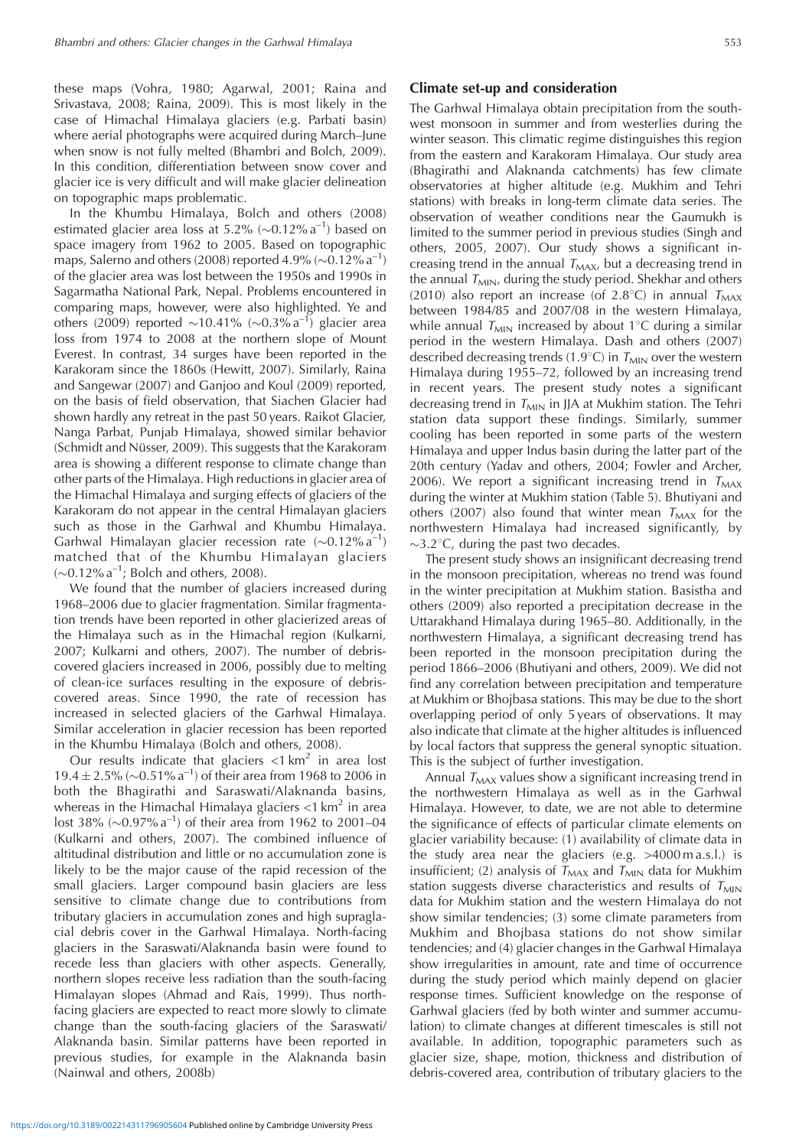these maps (Vohra, 1980; Agarwal, 2001; Raina and Srivastava, 2008; Raina, 2009). This is most likely in the case of Himachal Himalaya glaciers (e.g. Parbati basin) where aerial photographs were acquired during March–June when snow is not fully melted (Bhambri and Bolch, 2009). In this condition, differentiation between snow cover and glacier ice is very difficult and will make glacier delineation on topographic maps problematic.

In the Khumbu Himalaya, Bolch and others (2008) estimated glacier area loss at 5.2% ( $\sim$ 0.12% a<sup>-1</sup>) based on space imagery from 1962 to 2005. Based on topographic maps, Salerno and others (2008) reported 4.9% ( $\sim$ 0.12% a<sup>-1</sup>) of the glacier area was lost between the 1950s and 1990s in Sagarmatha National Park, Nepal. Problems encountered in comparing maps, however, were also highlighted. Ye and others (2009) reported  $\sim$ 10.41% ( $\sim$ 0.3% a<sup>-1</sup>) glacier area loss from 1974 to 2008 at the northern slope of Mount Everest. In contrast, 34 surges have been reported in the Karakoram since the 1860s (Hewitt, 2007). Similarly, Raina and Sangewar (2007) and Ganjoo and Koul (2009) reported, on the basis of field observation, that Siachen Glacier had shown hardly any retreat in the past 50 years. Raikot Glacier, Nanga Parbat, Punjab Himalaya, showed similar behavior (Schmidt and Nüsser, 2009). This suggests that the Karakoram area is showing a different response to climate change than other parts of the Himalaya. High reductions in glacier area of the Himachal Himalaya and surging effects of glaciers of the Karakoram do not appear in the central Himalayan glaciers such as those in the Garhwal and Khumbu Himalaya. Garhwal Himalayan glacier recession rate  $(\sim 0.12\% \text{ a}^{-1})$ matched that of the Khumbu Himalayan glaciers  $(\sim 0.12\% \text{ a}^{-1})$ ; Bolch and others, 2008).

We found that the number of glaciers increased during 1968–2006 due to glacier fragmentation. Similar fragmentation trends have been reported in other glacierized areas of the Himalaya such as in the Himachal region (Kulkarni, 2007; Kulkarni and others, 2007). The number of debriscovered glaciers increased in 2006, possibly due to melting of clean-ice surfaces resulting in the exposure of debriscovered areas. Since 1990, the rate of recession has increased in selected glaciers of the Garhwal Himalaya. Similar acceleration in glacier recession has been reported in the Khumbu Himalaya (Bolch and others, 2008).

Our results indicate that glaciers  $\langle 1 \text{ km}^2 \rangle$  in area lost  $19.4 \pm 2.5\%$  ( $\sim$ 0.51% a<sup>-1</sup>) of their area from 1968 to 2006 in both the Bhagirathi and Saraswati/Alaknanda basins, whereas in the Himachal Himalaya glaciers  $\langle 1 \text{ km}^2 \rangle$  in area lost 38% ( $\sim$ 0.97% a<sup>-1</sup>) of their area from 1962 to 2001–04 (Kulkarni and others, 2007). The combined influence of altitudinal distribution and little or no accumulation zone is likely to be the major cause of the rapid recession of the small glaciers. Larger compound basin glaciers are less sensitive to climate change due to contributions from tributary glaciers in accumulation zones and high supraglacial debris cover in the Garhwal Himalaya. North-facing glaciers in the Saraswati/Alaknanda basin were found to recede less than glaciers with other aspects. Generally, northern slopes receive less radiation than the south-facing Himalayan slopes (Ahmad and Rais, 1999). Thus northfacing glaciers are expected to react more slowly to climate change than the south-facing glaciers of the Saraswati/ Alaknanda basin. Similar patterns have been reported in previous studies, for example in the Alaknanda basin (Nainwal and others, 2008b)

#### **Climate set-up and consideration**

The Garhwal Himalaya obtain precipitation from the southwest monsoon in summer and from westerlies during the winter season. This climatic regime distinguishes this region from the eastern and Karakoram Himalaya. Our study area (Bhagirathi and Alaknanda catchments) has few climate observatories at higher altitude (e.g. Mukhim and Tehri stations) with breaks in long-term climate data series. The observation of weather conditions near the Gaumukh is limited to the summer period in previous studies (Singh and others, 2005, 2007). Our study shows a significant increasing trend in the annual  $T<sub>MAX</sub>$ , but a decreasing trend in the annual  $T<sub>MIN</sub>$ , during the study period. Shekhar and others (2010) also report an increase (of 2.8°C) in annual  $T_{MAX}$ between 1984/85 and 2007/08 in the western Himalaya, while annual  $T_{MIN}$  increased by about 1°C during a similar period in the western Himalaya. Dash and others (2007) described decreasing trends (1.9°C) in  $T_{MIN}$  over the western Himalaya during 1955–72, followed by an increasing trend in recent years. The present study notes a significant decreasing trend in  $T_{\text{MIN}}$  in JJA at Mukhim station. The Tehri station data support these findings. Similarly, summer cooling has been reported in some parts of the western Himalaya and upper Indus basin during the latter part of the 20th century (Yadav and others, 2004; Fowler and Archer, 2006). We report a significant increasing trend in  $T<sub>MAX</sub>$ during the winter at Mukhim station (Table 5). Bhutiyani and others (2007) also found that winter mean  $T<sub>MAX</sub>$  for the northwestern Himalaya had increased significantly, by  $\sim$ 3.2°C, during the past two decades.

The present study shows an insignificant decreasing trend in the monsoon precipitation, whereas no trend was found in the winter precipitation at Mukhim station. Basistha and others (2009) also reported a precipitation decrease in the Uttarakhand Himalaya during 1965–80. Additionally, in the northwestern Himalaya, a significant decreasing trend has been reported in the monsoon precipitation during the period 1866–2006 (Bhutiyani and others, 2009). We did not find any correlation between precipitation and temperature at Mukhim or Bhojbasa stations. This may be due to the short overlapping period of only 5 years of observations. It may also indicate that climate at the higher altitudes is influenced by local factors that suppress the general synoptic situation. This is the subject of further investigation.

Annual  $T<sub>MAX</sub>$  values show a significant increasing trend in the northwestern Himalaya as well as in the Garhwal Himalaya. However, to date, we are not able to determine the significance of effects of particular climate elements on glacier variability because: (1) availability of climate data in the study area near the glaciers (e.g. >4000 m a.s.l.) is insufficient; (2) analysis of  $T<sub>MAX</sub>$  and  $T<sub>MIN</sub>$  data for Mukhim station suggests diverse characteristics and results of  $T<sub>MIN</sub>$ data for Mukhim station and the western Himalaya do not show similar tendencies; (3) some climate parameters from Mukhim and Bhojbasa stations do not show similar tendencies; and (4) glacier changes in the Garhwal Himalaya show irregularities in amount, rate and time of occurrence during the study period which mainly depend on glacier response times. Sufficient knowledge on the response of Garhwal glaciers (fed by both winter and summer accumulation) to climate changes at different timescales is still not available. In addition, topographic parameters such as glacier size, shape, motion, thickness and distribution of debris-covered area, contribution of tributary glaciers to the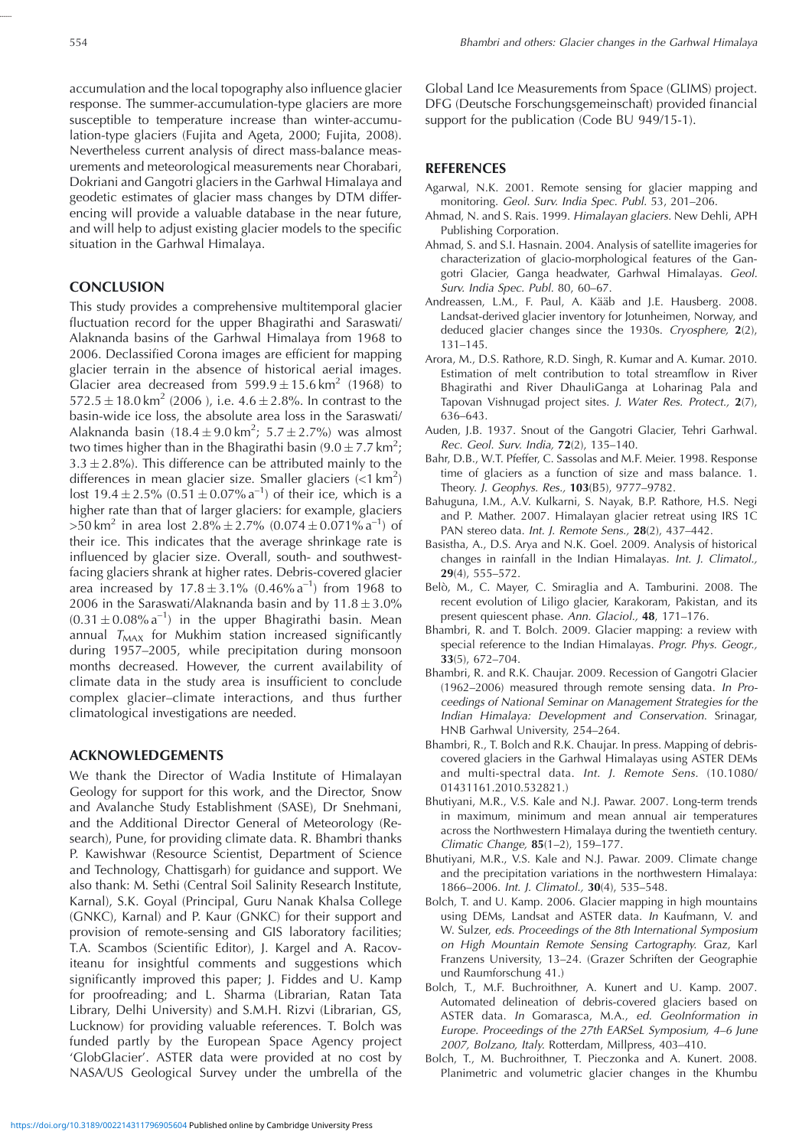accumulation and the local topography also influence glacier response. The summer-accumulation-type glaciers are more susceptible to temperature increase than winter-accumulation-type glaciers (Fujita and Ageta, 2000; Fujita, 2008). Nevertheless current analysis of direct mass-balance measurements and meteorological measurements near Chorabari, Dokriani and Gangotri glaciers in the Garhwal Himalaya and geodetic estimates of glacier mass changes by DTM differencing will provide a valuable database in the near future, and will help to adjust existing glacier models to the specific situation in the Garhwal Himalaya.

## **CONCLUSION**

This study provides a comprehensive multitemporal glacier fluctuation record for the upper Bhagirathi and Saraswati/ Alaknanda basins of the Garhwal Himalaya from 1968 to 2006. Declassified Corona images are efficient for mapping glacier terrain in the absence of historical aerial images. Glacier area decreased from  $599.9 \pm 15.6 \text{ km}^2$  (1968) to  $572.5 \pm 18.0 \,\mathrm{km}^2$  (2006), i.e.  $4.6 \pm 2.8\%$ . In contrast to the basin-wide ice loss, the absolute area loss in the Saraswati/ Alaknanda basin  $(18.4 \pm 9.0 \text{ km}^2; 5.7 \pm 2.7%)$  was almost two times higher than in the Bhagirathi basin (9.0  $\pm$  7.7 km<sup>2</sup>;  $3.3 \pm 2.8$ %). This difference can be attributed mainly to the differences in mean glacier size. Smaller glaciers  $(< 1 \text{ km}^2)$ lost 19.4 ± 2.5%  $(0.51 \pm 0.07\% \text{ a}^{-1})$  of their ice, which is a higher rate than that of larger glaciers: for example, glaciers  $>50 \text{ km}^2$  in area lost  $2.8\% \pm 2.7\%$  (0.074  $\pm$  0.071% a<sup>-1</sup>) of their ice. This indicates that the average shrinkage rate is influenced by glacier size. Overall, south- and southwestfacing glaciers shrank at higher rates. Debris-covered glacier area increased by  $17.8 \pm 3.1\%$  (0.46% a<sup>-1</sup>) from 1968 to 2006 in the Saraswati/Alaknanda basin and by  $11.8 \pm 3.0\%$  $(0.31 \pm 0.08\% \text{ a}^{-1})$  in the upper Bhagirathi basin. Mean annual  $T<sub>MAX</sub>$  for Mukhim station increased significantly during 1957–2005, while precipitation during monsoon months decreased. However, the current availability of climate data in the study area is insufficient to conclude complex glacier–climate interactions, and thus further climatological investigations are needed.

# **ACKNOWLEDGEMENTS**

We thank the Director of Wadia Institute of Himalayan Geology for support for this work, and the Director, Snow and Avalanche Study Establishment (SASE), Dr Snehmani, and the Additional Director General of Meteorology (Research), Pune, for providing climate data. R. Bhambri thanks P. Kawishwar (Resource Scientist, Department of Science and Technology, Chattisgarh) for guidance and support. We also thank: M. Sethi (Central Soil Salinity Research Institute, Karnal), S.K. Goyal (Principal, Guru Nanak Khalsa College (GNKC), Karnal) and P. Kaur (GNKC) for their support and provision of remote-sensing and GIS laboratory facilities; T.A. Scambos (Scientific Editor), J. Kargel and A. Racoviteanu for insightful comments and suggestions which significantly improved this paper; J. Fiddes and U. Kamp for proofreading; and L. Sharma (Librarian, Ratan Tata Library, Delhi University) and S.M.H. Rizvi (Librarian, GS, Lucknow) for providing valuable references. T. Bolch was funded partly by the European Space Agency project 'GlobGlacier'. ASTER data were provided at no cost by NASA/US Geological Survey under the umbrella of the Global Land Ice Measurements from Space (GLIMS) project. DFG (Deutsche Forschungsgemeinschaft) provided financial support for the publication (Code BU 949/15-1).

## **REFERENCES**

- Agarwal, N.K. 2001. Remote sensing for glacier mapping and monitoring. Geol. Surv. India Spec. Publ. 53, 201–206.
- Ahmad, N. and S. Rais. 1999. Himalayan glaciers. New Dehli, APH Publishing Corporation.
- Ahmad, S. and S.I. Hasnain. 2004. Analysis of satellite imageries for characterization of glacio-morphological features of the Gangotri Glacier, Ganga headwater, Garhwal Himalayas. Geol. Surv. India Spec. Publ. 80, 60–67.
- Andreassen, L.M., F. Paul, A. Kääb and J.E. Hausberg. 2008. Landsat-derived glacier inventory for Jotunheimen, Norway, and deduced glacier changes since the 1930s. Cryosphere, **2**(2), 131–145.
- Arora, M., D.S. Rathore, R.D. Singh, R. Kumar and A. Kumar. 2010. Estimation of melt contribution to total streamflow in River Bhagirathi and River DhauliGanga at Loharinag Pala and Tapovan Vishnugad project sites. J. Water Res. Protect., **2**(7), 636–643.
- Auden, J.B. 1937. Snout of the Gangotri Glacier, Tehri Garhwal. Rec. Geol. Surv. India, **72**(2), 135–140.
- Bahr, D.B., W.T. Pfeffer, C. Sassolas and M.F. Meier. 1998. Response time of glaciers as a function of size and mass balance. 1. Theory. J. Geophys. Res., **103**(B5), 9777–9782.
- Bahuguna, I.M., A.V. Kulkarni, S. Nayak, B.P. Rathore, H.S. Negi and P. Mather. 2007. Himalayan glacier retreat using IRS 1C PAN stereo data. Int. J. Remote Sens., **28**(2), 437–442.
- Basistha, A., D.S. Arya and N.K. Goel. 2009. Analysis of historical changes in rainfall in the Indian Himalayas. Int. J. Climatol., **29**(4), 555–572.
- Belò, M., C. Mayer, C. Smiraglia and A. Tamburini. 2008. The recent evolution of Liligo glacier, Karakoram, Pakistan, and its present quiescent phase. Ann. Glaciol., **48**, 171–176.
- Bhambri, R. and T. Bolch. 2009. Glacier mapping: a review with special reference to the Indian Himalayas. Progr. Phys. Geogr., **33**(5), 672–704.
- Bhambri, R. and R.K. Chaujar. 2009. Recession of Gangotri Glacier (1962–2006) measured through remote sensing data. In Proceedings of National Seminar on Management Strategies for the Indian Himalaya: Development and Conservation. Srinagar, HNB Garhwal University, 254–264.
- Bhambri, R., T. Bolch and R.K. Chaujar. In press. Mapping of debriscovered glaciers in the Garhwal Himalayas using ASTER DEMs and multi-spectral data. Int. J. Remote Sens. (10.1080/ 01431161.2010.532821.)
- Bhutiyani, M.R., V.S. Kale and N.J. Pawar. 2007. Long-term trends in maximum, minimum and mean annual air temperatures across the Northwestern Himalaya during the twentieth century. Climatic Change, **85**(1–2), 159–177.
- Bhutiyani, M.R., V.S. Kale and N.J. Pawar. 2009. Climate change and the precipitation variations in the northwestern Himalaya: 1866–2006. Int. J. Climatol., **30**(4), 535–548.
- Bolch, T. and U. Kamp. 2006. Glacier mapping in high mountains using DEMs, Landsat and ASTER data. In Kaufmann, V. and W. Sulzer, eds. Proceedings of the 8th International Symposium on High Mountain Remote Sensing Cartography. Graz, Karl Franzens University, 13–24. (Grazer Schriften der Geographie und Raumforschung 41.)
- Bolch, T., M.F. Buchroithner, A. Kunert and U. Kamp. 2007. Automated delineation of debris-covered glaciers based on ASTER data. In Gomarasca, M.A., ed. GeoInformation in Europe. Proceedings of the 27th EARSeL Symposium, 4–6 June 2007, Bolzano, Italy. Rotterdam, Millpress, 403–410.
- Bolch, T., M. Buchroithner, T. Pieczonka and A. Kunert. 2008. Planimetric and volumetric glacier changes in the Khumbu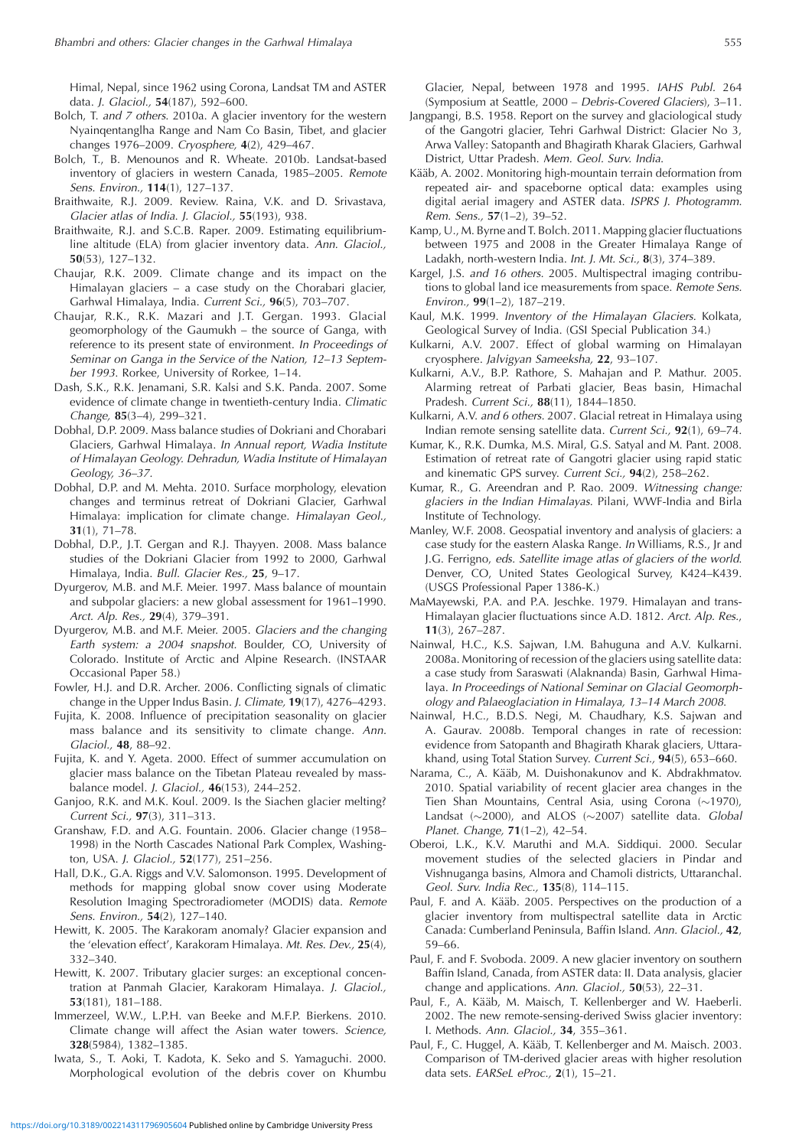Himal, Nepal, since 1962 using Corona, Landsat TM and ASTER data. J. Glaciol., **54**(187), 592–600.

- Bolch, T. and 7 others. 2010a. A glacier inventory for the western Nyainqentanglha Range and Nam Co Basin, Tibet, and glacier changes 1976–2009. Cryosphere, **4**(2), 429–467.
- Bolch, T., B. Menounos and R. Wheate. 2010b. Landsat-based inventory of glaciers in western Canada, 1985–2005. Remote Sens. Environ., **114**(1), 127–137.
- Braithwaite, R.J. 2009. Review. Raina, V.K. and D. Srivastava, Glacier atlas of India. J. Glaciol., **55**(193), 938.
- Braithwaite, R.J. and S.C.B. Raper. 2009. Estimating equilibriumline altitude (ELA) from glacier inventory data. Ann. Glaciol., **50**(53), 127–132.
- Chaujar, R.K. 2009. Climate change and its impact on the Himalayan glaciers – a case study on the Chorabari glacier, Garhwal Himalaya, India. Current Sci., **96**(5), 703–707.
- Chaujar, R.K., R.K. Mazari and J.T. Gergan. 1993. Glacial geomorphology of the Gaumukh – the source of Ganga, with reference to its present state of environment. In Proceedings of Seminar on Ganga in the Service of the Nation, 12–13 September 1993. Rorkee, University of Rorkee, 1–14.
- Dash, S.K., R.K. Jenamani, S.R. Kalsi and S.K. Panda. 2007. Some evidence of climate change in twentieth-century India. Climatic Change, **85**(3–4), 299–321.
- Dobhal, D.P. 2009. Mass balance studies of Dokriani and Chorabari Glaciers, Garhwal Himalaya. In Annual report, Wadia Institute of Himalayan Geology. Dehradun, Wadia Institute of Himalayan Geology, 36–37.
- Dobhal, D.P. and M. Mehta. 2010. Surface morphology, elevation changes and terminus retreat of Dokriani Glacier, Garhwal Himalaya: implication for climate change. Himalayan Geol., **31**(1), 71–78.
- Dobhal, D.P., J.T. Gergan and R.J. Thayyen. 2008. Mass balance studies of the Dokriani Glacier from 1992 to 2000, Garhwal Himalaya, India. Bull. Glacier Res., **25**, 9–17.
- Dyurgerov, M.B. and M.F. Meier. 1997. Mass balance of mountain and subpolar glaciers: a new global assessment for 1961–1990. Arct. Alp. Res., **29**(4), 379–391.
- Dyurgerov, M.B. and M.F. Meier. 2005. Glaciers and the changing Earth system: a 2004 snapshot. Boulder, CO, University of Colorado. Institute of Arctic and Alpine Research. (INSTAAR Occasional Paper 58.)
- Fowler, H.J. and D.R. Archer. 2006. Conflicting signals of climatic change in the Upper Indus Basin. J. Climate, **19**(17), 4276–4293.
- Fujita, K. 2008. Influence of precipitation seasonality on glacier mass balance and its sensitivity to climate change. Ann. Glaciol., **48**, 88–92.
- Fujita, K. and Y. Ageta. 2000. Effect of summer accumulation on glacier mass balance on the Tibetan Plateau revealed by massbalance model. J. Glaciol., **46**(153), 244–252.
- Ganjoo, R.K. and M.K. Koul. 2009. Is the Siachen glacier melting? Current Sci., **97**(3), 311–313.
- Granshaw, F.D. and A.G. Fountain. 2006. Glacier change (1958– 1998) in the North Cascades National Park Complex, Washington, USA. J. Glaciol., **52**(177), 251–256.
- Hall, D.K., G.A. Riggs and V.V. Salomonson. 1995. Development of methods for mapping global snow cover using Moderate Resolution Imaging Spectroradiometer (MODIS) data. Remote Sens. Environ., **54**(2), 127–140.
- Hewitt, K. 2005. The Karakoram anomaly? Glacier expansion and the 'elevation effect', Karakoram Himalaya. Mt. Res. Dev., **25**(4), 332–340.
- Hewitt, K. 2007. Tributary glacier surges: an exceptional concentration at Panmah Glacier, Karakoram Himalaya. J. Glaciol., **53**(181), 181–188.
- Immerzeel, W.W., L.P.H. van Beeke and M.F.P. Bierkens. 2010. Climate change will affect the Asian water towers. Science, **328**(5984), 1382–1385.
- Iwata, S., T. Aoki, T. Kadota, K. Seko and S. Yamaguchi. 2000. Morphological evolution of the debris cover on Khumbu

Glacier, Nepal, between 1978 and 1995. IAHS Publ. 264 (Symposium at Seattle, 2000 – Debris-Covered Glaciers), 3–11.

- Jangpangi, B.S. 1958. Report on the survey and glaciological study of the Gangotri glacier, Tehri Garhwal District: Glacier No 3, Arwa Valley: Satopanth and Bhagirath Kharak Glaciers, Garhwal District, Uttar Pradesh. Mem. Geol. Surv. India.
- Kääb, A. 2002. Monitoring high-mountain terrain deformation from repeated air- and spaceborne optical data: examples using digital aerial imagery and ASTER data. ISPRS J. Photogramm. Rem. Sens., **57**(1–2), 39–52.
- Kamp, U., M. Byrne and T. Bolch. 2011. Mapping glacier fluctuations between 1975 and 2008 in the Greater Himalaya Range of Ladakh, north-western India. Int. J. Mt. Sci., **8**(3), 374–389.
- Kargel, J.S. and 16 others. 2005. Multispectral imaging contributions to global land ice measurements from space. Remote Sens. Environ., **99**(1–2), 187–219.
- Kaul, M.K. 1999. Inventory of the Himalayan Glaciers. Kolkata, Geological Survey of India. (GSI Special Publication 34.)
- Kulkarni, A.V. 2007. Effect of global warming on Himalayan cryosphere. Jalvigyan Sameeksha, **22**, 93–107.
- Kulkarni, A.V., B.P. Rathore, S. Mahajan and P. Mathur. 2005. Alarming retreat of Parbati glacier, Beas basin, Himachal Pradesh. Current Sci., **88**(11), 1844–1850.
- Kulkarni, A.V. and 6 others. 2007. Glacial retreat in Himalaya using Indian remote sensing satellite data. Current Sci., **92**(1), 69–74.
- Kumar, K., R.K. Dumka, M.S. Miral, G.S. Satyal and M. Pant. 2008. Estimation of retreat rate of Gangotri glacier using rapid static and kinematic GPS survey. Current Sci., **94**(2), 258–262.
- Kumar, R., G. Areendran and P. Rao. 2009. Witnessing change: glaciers in the Indian Himalayas. Pilani, WWF-India and Birla Institute of Technology.
- Manley, W.F. 2008. Geospatial inventory and analysis of glaciers: a case study for the eastern Alaska Range. In Williams, R.S., Jr and J.G. Ferrigno, eds. Satellite image atlas of glaciers of the world. Denver, CO, United States Geological Survey, K424–K439. (USGS Professional Paper 1386-K.)
- MaMayewski, P.A. and P.A. Jeschke. 1979. Himalayan and trans-Himalayan glacier fluctuations since A.D. 1812. Arct. Alp. Res., **11**(3), 267–287.
- Nainwal, H.C., K.S. Sajwan, I.M. Bahuguna and A.V. Kulkarni. 2008a. Monitoring of recession of the glaciers using satellite data: a case study from Saraswati (Alaknanda) Basin, Garhwal Himalaya. In Proceedings of National Seminar on Glacial Geomorphology and Palaeoglaciation in Himalaya, 13–14 March 2008.
- Nainwal, H.C., B.D.S. Negi, M. Chaudhary, K.S. Sajwan and A. Gaurav. 2008b. Temporal changes in rate of recession: evidence from Satopanth and Bhagirath Kharak glaciers, Uttarakhand, using Total Station Survey. Current Sci., **94**(5), 653–660.
- Narama, C., A. Kääb, M. Duishonakunov and K. Abdrakhmatov. 2010. Spatial variability of recent glacier area changes in the Tien Shan Mountains, Central Asia, using Corona  $(\sim 1970)$ , Landsat  $(\sim 2000)$ , and ALOS  $(\sim 2007)$  satellite data. Global Planet. Change, **71**(1–2), 42–54.
- Oberoi, L.K., K.V. Maruthi and M.A. Siddiqui. 2000. Secular movement studies of the selected glaciers in Pindar and Vishnuganga basins, Almora and Chamoli districts, Uttaranchal. Geol. Surv. India Rec., **135**(8), 114–115.
- Paul, F. and A. Kääb. 2005. Perspectives on the production of a glacier inventory from multispectral satellite data in Arctic Canada: Cumberland Peninsula, Baffin Island. Ann. Glaciol., **42**, 59–66.
- Paul, F. and F. Svoboda. 2009. A new glacier inventory on southern Baffin Island, Canada, from ASTER data: II. Data analysis, glacier change and applications. Ann. Glaciol., **50**(53), 22–31.
- Paul, F., A. Kääb, M. Maisch, T. Kellenberger and W. Haeberli. 2002. The new remote-sensing-derived Swiss glacier inventory: I. Methods. Ann. Glaciol., **34**, 355–361.
- Paul, F., C. Huggel, A. Kääb, T. Kellenberger and M. Maisch. 2003. Comparison of TM-derived glacier areas with higher resolution data sets. EARSeL eProc., **2**(1), 15–21.